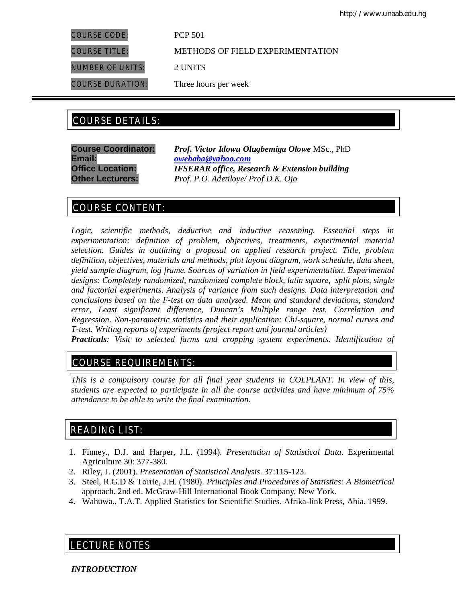COURSE CODE: PCP 501

COURSE TITLE: METHODS OF FIELD EXPERIMENTATION

NUMBER OF UNITS: 2 UNITS

COURSE DURATION: Three hours per week

# COURSE DETAILS: COURSE DETAILS:

**Email:** *owebaba@yahoo.com*

**Course Coordinator:** *Prof. Victor Idowu Olugbemiga Olowe* MSc., PhD **Office Location:** *IFSERAR office, Research & Extension building* **Other Lecturers:** *Prof. P.O. Adetiloye/ Prof D.K. Ojo*

# COURSE CONTENT:

*Logic, scientific methods, deductive and inductive reasoning. Essential steps in experimentation: definition of problem, objectives, treatments, experimental material selection. Guides in outlining a proposal on applied research project. Title, problem definition, objectives, materials and methods, plot layout diagram, work schedule, data sheet, yield sample diagram, log frame. Sources of variation in field experimentation. Experimental designs: Completely randomized, randomized complete block, latin square, split plots, single and factorial experiments. Analysis of variance from such designs. Data interpretation and conclusions based on the F-test on data analyzed. Mean and standard deviations, standard error, Least significant difference, Duncan's Multiple range test. Correlation and Regression. Non-parametric statistics and their application: Chi-square, normal curves and T-test. Writing reports of experiments (project report and journal articles)*

*Practicals: Visit to selected farms and cropping system experiments. Identification of* 

# COURSE REQUIREMENTS:

*This is a compulsory course for all final year students in COLPLANT. In view of this, students are expected to participate in all the course activities and have minimum of 75% attendance to be able to write the final examination.*

# READING LIST:

- 1. Finney., D.J. and Harper, J.L. (1994). *Presentation of Statistical Data*. Experimental Agriculture 30: 377-380.
- 2. Riley, J. (2001). *Presentation of Statistical Analysis*. 37:115-123.
- 3. Steel, R.G.D & Torrie, J.H. (1980). *Principles and Procedures of Statistics: A Biometrical*  approach. 2nd ed. McGraw-Hill International Book Company, New York.
- 4. Wahuwa., T.A.T. Applied Statistics for Scientific Studies. Afrika-link Press, Abia. 1999.

# LECTURE NOTES

*INTRODUCTION*

E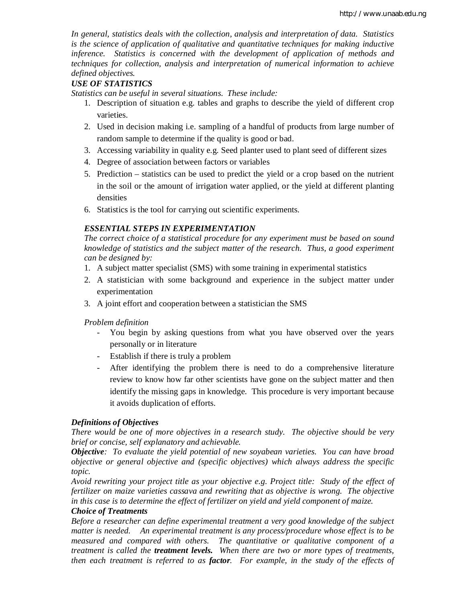*In general, statistics deals with the collection, analysis and interpretation of data. Statistics is the science of application of qualitative and quantitative techniques for making inductive inference. Statistics is concerned with the development of application of methods and techniques for collection, analysis and interpretation of numerical information to achieve defined objectives.*

# *USE OF STATISTICS*

*Statistics can be useful in several situations. These include:*

- 1. Description of situation e.g. tables and graphs to describe the yield of different crop varieties.
- 2. Used in decision making i.e. sampling of a handful of products from large number of random sample to determine if the quality is good or bad.
- 3. Accessing variability in quality e.g. Seed planter used to plant seed of different sizes
- 4. Degree of association between factors or variables
- 5. Prediction statistics can be used to predict the yield or a crop based on the nutrient in the soil or the amount of irrigation water applied, or the yield at different planting densities
- 6. Statistics is the tool for carrying out scientific experiments.

# *ESSENTIAL STEPS IN EXPERIMENTATION*

*The correct choice of a statistical procedure for any experiment must be based on sound knowledge of statistics and the subject matter of the research. Thus, a good experiment can be designed by:*

- 1. A subject matter specialist (SMS) with some training in experimental statistics
- 2. A statistician with some background and experience in the subject matter under experimentation
- 3. A joint effort and cooperation between a statistician the SMS

*Problem definition*

- You begin by asking questions from what you have observed over the years personally or in literature
- Establish if there is truly a problem
- After identifying the problem there is need to do a comprehensive literature review to know how far other scientists have gone on the subject matter and then identify the missing gaps in knowledge. This procedure is very important because it avoids duplication of efforts.

# *Definitions of Objectives*

*There would be one of more objectives in a research study. The objective should be very brief or concise, self explanatory and achievable.*

*Objective: To evaluate the yield potential of new soyabean varieties. You can have broad objective or general objective and (specific objectives) which always address the specific topic.*

*Avoid rewriting your project title as your objective e.g. Project title: Study of the effect of fertilizer on maize varieties cassava and rewriting that as objective is wrong. The objective in this case is to determine the effect of fertilizer on yield and yield component of maize.*

# *Choice of Treatments*

*Before a researcher can define experimental treatment a very good knowledge of the subject matter is needed. An experimental treatment is any process/procedure whose effect is to be measured and compared with others. The quantitative or qualitative component of a treatment is called the treatment levels. When there are two or more types of treatments, then each treatment is referred to as factor. For example, in the study of the effects of*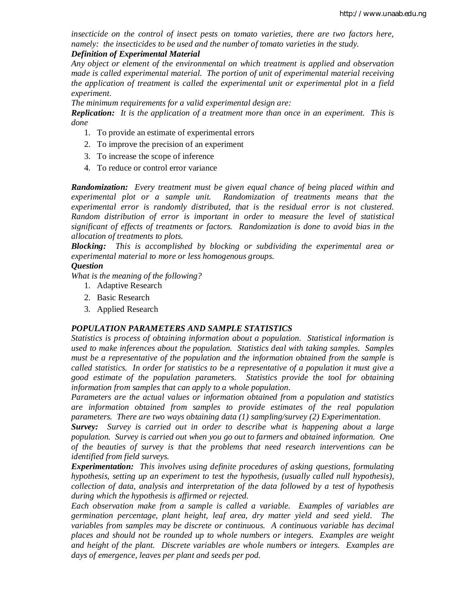*insecticide on the control of insect pests on tomato varieties, there are two factors here, namely: the insecticides to be used and the number of tomato varieties in the study.*

# *Definition of Experimental Material*

*Any object or element of the environmental on which treatment is applied and observation made is called experimental material. The portion of unit of experimental material receiving the application of treatment is called the experimental unit or experimental plot in a field experiment.*

*The minimum requirements for a valid experimental design are:*

*Replication: It is the application of a treatment more than once in an experiment. This is done*

- 1. To provide an estimate of experimental errors
- 2. To improve the precision of an experiment
- 3. To increase the scope of inference
- 4. To reduce or control error variance

*Randomization: Every treatment must be given equal chance of being placed within and experimental plot or a sample unit. Randomization of treatments means that the experimental error is randomly distributed, that is the residual error is not clustered. Random distribution of error is important in order to measure the level of statistical significant of effects of treatments or factors. Randomization is done to avoid bias in the allocation of treatments to plots.*

*Blocking: This is accomplished by blocking or subdividing the experimental area or experimental material to more or less homogenous groups.*

#### *Question*

*What is the meaning of the following?*

- 1. Adaptive Research
- 2. Basic Research
- 3. Applied Research

#### *POPULATION PARAMETERS AND SAMPLE STATISTICS*

*Statistics is process of obtaining information about a population. Statistical information is used to make inferences about the population. Statistics deal with taking samples. Samples must be a representative of the population and the information obtained from the sample is called statistics. In order for statistics to be a representative of a population it must give a good estimate of the population parameters. Statistics provide the tool for obtaining information from samples that can apply to a whole population.*

*Parameters are the actual values or information obtained from a population and statistics are information obtained from samples to provide estimates of the real population parameters. There are two ways obtaining data (1) sampling/survey (2) Experimentation.*

*Survey: Survey is carried out in order to describe what is happening about a large population. Survey is carried out when you go out to farmers and obtained information. One of the beauties of survey is that the problems that need research interventions can be identified from field surveys.*

*Experimentation: This involves using definite procedures of asking questions, formulating hypothesis, setting up an experiment to test the hypothesis, (usually called null hypothesis), collection of data, analysis and interpretation of the data followed by a test of hypothesis during which the hypothesis is affirmed or rejected.*

*Each observation make from a sample is called a variable. Examples of variables are germination percentage, plant height, leaf area, dry matter yield and seed yield. The variables from samples may be discrete or continuous. A continuous variable has decimal places and should not be rounded up to whole numbers or integers. Examples are weight and height of the plant. Discrete variables are whole numbers or integers. Examples are days of emergence, leaves per plant and seeds per pod.*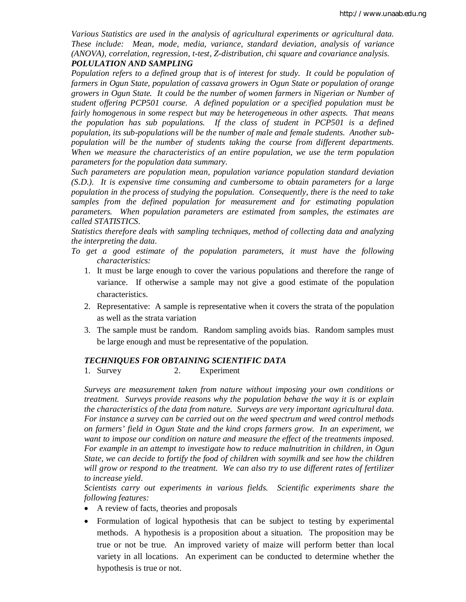*Various Statistics are used in the analysis of agricultural experiments or agricultural data. These include: Mean, mode, media, variance, standard deviation, analysis of variance (ANOVA), correlation, regression, t-test, Z-distribution, chi square and covariance analysis. POLULATION AND SAMPLING*

*Population refers to a defined group that is of interest for study. It could be population of farmers in Ogun State, population of cassava growers in Ogun State or population of orange growers in Ogun State. It could be the number of women farmers in Nigerian or Number of student offering PCP501 course. A defined population or a specified population must be fairly homogenous in some respect but may be heterogeneous in other aspects. That means the population has sub populations. If the class of student in PCP501 is a defined population, its sub-populations will be the number of male and female students. Another subpopulation will be the number of students taking the course from different departments. When we measure the characteristics of an entire population, we use the term population parameters for the population data summary.*

*Such parameters are population mean, population variance population standard deviation (S.D.). It is expensive time consuming and cumbersome to obtain parameters for a large population in the process of studying the population. Consequently, there is the need to take samples from the defined population for measurement and for estimating population parameters. When population parameters are estimated from samples, the estimates are called STATISTICS.*

*Statistics therefore deals with sampling techniques, method of collecting data and analyzing the interpreting the data.*

- *To get a good estimate of the population parameters, it must have the following characteristics:*
	- 1. It must be large enough to cover the various populations and therefore the range of variance. If otherwise a sample may not give a good estimate of the population characteristics.
	- 2. Representative: A sample is representative when it covers the strata of the population as well as the strata variation
	- 3. The sample must be random. Random sampling avoids bias. Random samples must be large enough and must be representative of the population.

# *TECHNIQUES FOR OBTAINING SCIENTIFIC DATA*

1. Survey 2. Experiment

*Surveys are measurement taken from nature without imposing your own conditions or treatment. Surveys provide reasons why the population behave the way it is or explain the characteristics of the data from nature. Surveys are very important agricultural data. For instance a survey can be carried out on the weed spectrum and weed control methods on farmers' field in Ogun State and the kind crops farmers grow. In an experiment, we want to impose our condition on nature and measure the effect of the treatments imposed. For example in an attempt to investigate how to reduce malnutrition in children, in Ogun State, we can decide to fortify the food of children with soymilk and see how the children will grow or respond to the treatment. We can also try to use different rates of fertilizer to increase yield.*

*Scientists carry out experiments in various fields. Scientific experiments share the following features:*

- A review of facts, theories and proposals
- Formulation of logical hypothesis that can be subject to testing by experimental methods. A hypothesis is a proposition about a situation. The proposition may be true or not be true. An improved variety of maize will perform better than local variety in all locations. An experiment can be conducted to determine whether the hypothesis is true or not.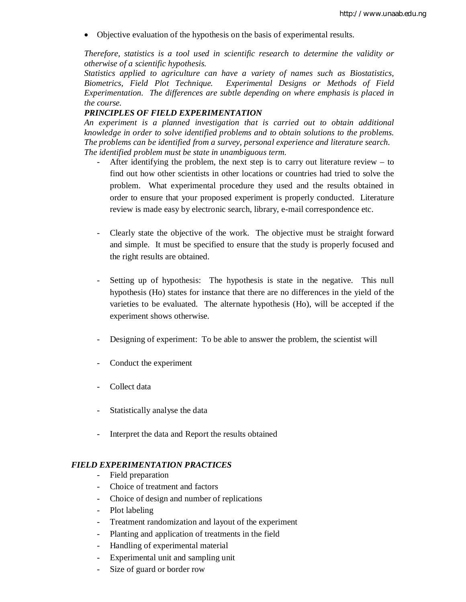Objective evaluation of the hypothesis on the basis of experimental results.

*Therefore, statistics is a tool used in scientific research to determine the validity or otherwise of a scientific hypothesis.*

*Statistics applied to agriculture can have a variety of names such as Biostatistics, Biometrics, Field Plot Technique. Experimental Designs or Methods of Field Experimentation. The differences are subtle depending on where emphasis is placed in the course.*

#### *PRINCIPLES OF FIELD EXPERIMENTATION*

*An experiment is a planned investigation that is carried out to obtain additional knowledge in order to solve identified problems and to obtain solutions to the problems. The problems can be identified from a survey, personal experience and literature search. The identified problem must be state in unambiguous term.*

- After identifying the problem, the next step is to carry out literature review  $-$  to find out how other scientists in other locations or countries had tried to solve the problem. What experimental procedure they used and the results obtained in order to ensure that your proposed experiment is properly conducted. Literature review is made easy by electronic search, library, e-mail correspondence etc.
- Clearly state the objective of the work. The objective must be straight forward and simple. It must be specified to ensure that the study is properly focused and the right results are obtained.
- Setting up of hypothesis: The hypothesis is state in the negative. This null hypothesis (Ho) states for instance that there are no differences in the yield of the varieties to be evaluated. The alternate hypothesis (Ho), will be accepted if the experiment shows otherwise.
- Designing of experiment: To be able to answer the problem, the scientist will
- Conduct the experiment
- Collect data
- Statistically analyse the data
- Interpret the data and Report the results obtained

### *FIELD EXPERIMENTATION PRACTICES*

- Field preparation
- Choice of treatment and factors
- Choice of design and number of replications
- Plot labeling
- Treatment randomization and layout of the experiment
- Planting and application of treatments in the field
- Handling of experimental material
- Experimental unit and sampling unit
- Size of guard or border row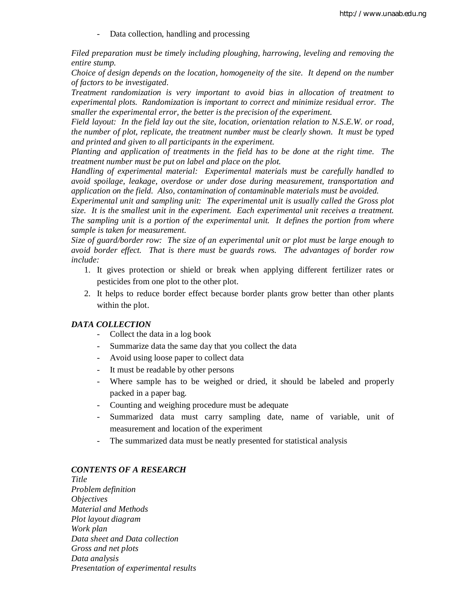- Data collection, handling and processing

*Filed preparation must be timely including ploughing, harrowing, leveling and removing the entire stump.*

*Choice of design depends on the location, homogeneity of the site. It depend on the number of factors to be investigated.*

*Treatment randomization is very important to avoid bias in allocation of treatment to experimental plots. Randomization is important to correct and minimize residual error. The smaller the experimental error, the better is the precision of the experiment.*

*Field layout: In the field lay out the site, location, orientation relation to N.S.E.W. or road, the number of plot, replicate, the treatment number must be clearly shown. It must be typed and printed and given to all participants in the experiment.*

*Planting and application of treatments in the field has to be done at the right time. The treatment number must be put on label and place on the plot.*

*Handling of experimental material: Experimental materials must be carefully handled to avoid spoilage, leakage, overdose or under dose during measurement, transportation and application on the field. Also, contamination of contaminable materials must be avoided.*

*Experimental unit and sampling unit: The experimental unit is usually called the Gross plot size. It is the smallest unit in the experiment. Each experimental unit receives a treatment. The sampling unit is a portion of the experimental unit. It defines the portion from where sample is taken for measurement.*

*Size of guard/border row: The size of an experimental unit or plot must be large enough to avoid border effect. That is there must be guards rows. The advantages of border row include:*

- 1. It gives protection or shield or break when applying different fertilizer rates or pesticides from one plot to the other plot.
- 2. It helps to reduce border effect because border plants grow better than other plants within the plot.

#### *DATA COLLECTION*

- Collect the data in a log book
- Summarize data the same day that you collect the data
- Avoid using loose paper to collect data
- It must be readable by other persons
- Where sample has to be weighed or dried, it should be labeled and properly packed in a paper bag.
- Counting and weighing procedure must be adequate
- Summarized data must carry sampling date, name of variable, unit of measurement and location of the experiment
- The summarized data must be neatly presented for statistical analysis

#### *CONTENTS OF A RESEARCH*

*Title Problem definition Objectives Material and Methods Plot layout diagram Work plan Data sheet and Data collection Gross and net plots Data analysis Presentation of experimental results*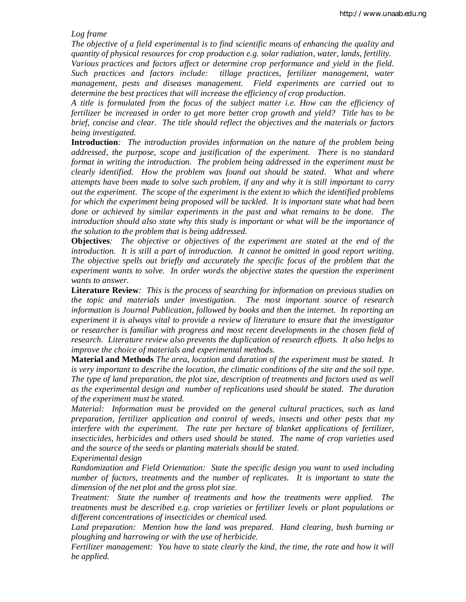*Log frame*

*The objective of a field experimental is to find scientific means of enhancing the quality and quantity of physical resources for crop production e.g. solar radiation, water, lands, fertility. Various practices and factors affect or determine crop performance and yield in the field.* 

*Such practices and factors include: tillage practices, fertilizer management, water management, pests and diseases management. Field experiments are carried out to determine the best practices that will increase the efficiency of crop production.*

*A title is formulated from the focus of the subject matter i.e. How can the efficiency of fertilizer be increased in order to get more better crop growth and yield? Title has to be brief, concise and clear. The title should reflect the objectives and the materials or factors being investigated.*

**Introduction***: The introduction provides information on the nature of the problem being addressed, the purpose, scope and justification of the experiment. There is no standard format in writing the introduction. The problem being addressed in the experiment must be clearly identified. How the problem was found out should be stated. What and where attempts have been made to solve such problem, if any and why it is still important to carry out the experiment. The scope of the experiment is the extent to which the identified problems for which the experiment being proposed will be tackled. It is important state what had been done or achieved by similar experiments in the past and what remains to be done. The introduction should also state why this study is important or what will be the importance of the solution to the problem that is being addressed.*

**Objectives***: The objective or objectives of the experiment are stated at the end of the introduction. It is still a part of introduction. It cannot be omitted in good report writing. The objective spells out briefly and accurately the specific focus of the problem that the*  experiment wants to solve. In order words the objective states the question the experiment *wants to answer.*

**Literature Review***: This is the process of searching for information on previous studies on the topic and materials under investigation. The most important source of research information is Journal Publication, followed by books and then the internet. In reporting an experiment it is always vital to provide a review of literature to ensure that the investigator or researcher is familiar with progress and most recent developments in the chosen field of research. Literature review also prevents the duplication of research efforts. It also helps to improve the choice of materials and experimental methods.*

**Material and Methods** *The area, location and duration of the experiment must be stated. It is very important to describe the location, the climatic conditions of the site and the soil type. The type of land preparation, the plot size, description of treatments and factors used as well as the experimental design and number of replications used should be stated. The duration of the experiment must be stated.*

*Material: Information must be provided on the general cultural practices, such as land preparation, fertilizer application and control of weeds, insects and other pests that my interfere with the experiment. The rate per hectare of blanket applications of fertilizer, insecticides, herbicides and others used should be stated. The name of crop varieties used and the source of the seeds or planting materials should be stated.*

*Experimental design*

*Randomization and Field Orientation: State the specific design you want to used including number of factors, treatments and the number of replicates. It is important to state the dimension of the net plot and the gross plot size.*

*Treatment: State the number of treatments and how the treatments were applied. The treatments must be described e.g. crop varieties or fertilizer levels or plant populations or different concentrations of insecticides or chemical used.*

*Land preparation: Mention how the land was prepared. Hand clearing, bush burning or ploughing and harrowing or with the use of herbicide.*

*Fertilizer management: You have to state clearly the kind, the time, the rate and how it will be applied.*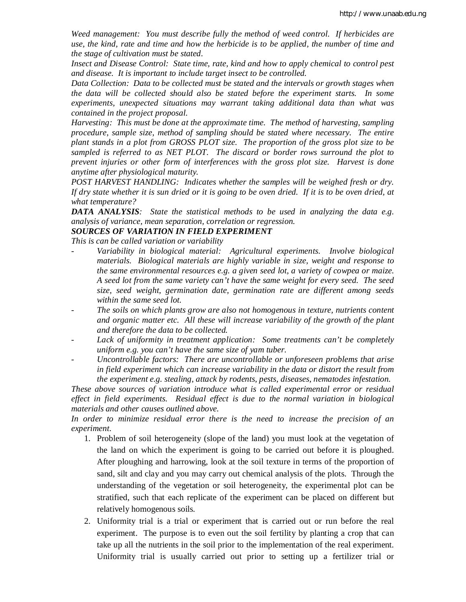*Weed management: You must describe fully the method of weed control. If herbicides are use, the kind, rate and time and how the herbicide is to be applied, the number of time and the stage of cultivation must be stated.*

*Insect and Disease Control: State time, rate, kind and how to apply chemical to control pest and disease. It is important to include target insect to be controlled.*

*Data Collection: Data to be collected must be stated and the intervals or growth stages when the data will be collected should also be stated before the experiment starts. In some experiments, unexpected situations may warrant taking additional data than what was contained in the project proposal.*

*Harvesting: This must be done at the approximate time. The method of harvesting, sampling procedure, sample size, method of sampling should be stated where necessary. The entire plant stands in a plot from GROSS PLOT size. The proportion of the gross plot size to be sampled is referred to as NET PLOT. The discard or border rows surround the plot to prevent injuries or other form of interferences with the gross plot size. Harvest is done anytime after physiological maturity.*

*POST HARVEST HANDLING: Indicates whether the samples will be weighed fresh or dry. If dry state whether it is sun dried or it is going to be oven dried. If it is to be oven dried, at what temperature?*

*DATA ANALYSIS: State the statistical methods to be used in analyzing the data e.g. analysis of variance, mean separation, correlation or regression.*

#### *SOURCES OF VARIATION IN FIELD EXPERIMENT*

*This is can be called variation or variability*

- Variability in biological material: Agricultural experiments. Involve biological *materials. Biological materials are highly variable in size, weight and response to the same environmental resources e.g. a given seed lot, a variety of cowpea or maize. A seed lot from the same variety can't have the same weight for every seed. The seed size, seed weight, germination date, germination rate are different among seeds within the same seed lot.*
- *- The soils on which plants grow are also not homogenous in texture, nutrients content and organic matter etc. All these will increase variability of the growth of the plant and therefore the data to be collected.*
- *- Lack of uniformity in treatment application: Some treatments can't be completely uniform e.g. you can't have the same size of yam tuber.*
- *Uncontrollable factors: There are uncontrollable or unforeseen problems that arise in field experiment which can increase variability in the data or distort the result from the experiment e.g. stealing, attack by rodents, pests, diseases, nematodes infestation.*

*These above sources of variation introduce what is called experimental error or residual effect in field experiments. Residual effect is due to the normal variation in biological materials and other causes outlined above.*

*In order to minimize residual error there is the need to increase the precision of an experiment.*

- 1. Problem of soil heterogeneity (slope of the land) you must look at the vegetation of the land on which the experiment is going to be carried out before it is ploughed. After ploughing and harrowing, look at the soil texture in terms of the proportion of sand, silt and clay and you may carry out chemical analysis of the plots. Through the understanding of the vegetation or soil heterogeneity, the experimental plot can be stratified, such that each replicate of the experiment can be placed on different but relatively homogenous soils.
- 2. Uniformity trial is a trial or experiment that is carried out or run before the real experiment. The purpose is to even out the soil fertility by planting a crop that can take up all the nutrients in the soil prior to the implementation of the real experiment. Uniformity trial is usually carried out prior to setting up a fertilizer trial or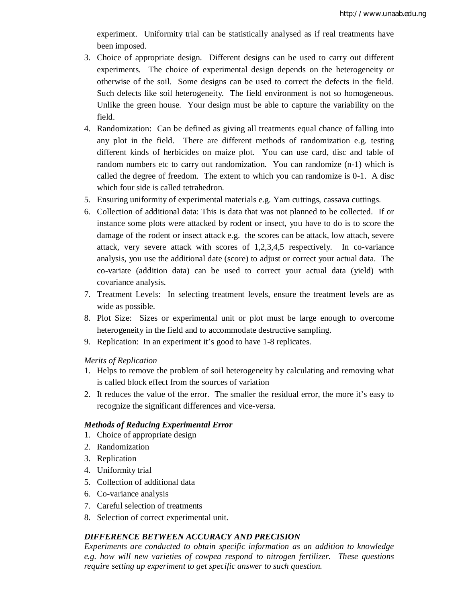experiment. Uniformity trial can be statistically analysed as if real treatments have been imposed.

- 3. Choice of appropriate design. Different designs can be used to carry out different experiments. The choice of experimental design depends on the heterogeneity or otherwise of the soil. Some designs can be used to correct the defects in the field. Such defects like soil heterogeneity. The field environment is not so homogeneous. Unlike the green house. Your design must be able to capture the variability on the field.
- 4. Randomization: Can be defined as giving all treatments equal chance of falling into any plot in the field. There are different methods of randomization e.g. testing different kinds of herbicides on maize plot. You can use card, disc and table of random numbers etc to carry out randomization. You can randomize (n-1) which is called the degree of freedom. The extent to which you can randomize is 0-1. A disc which four side is called tetrahedron.
- 5. Ensuring uniformity of experimental materials e.g. Yam cuttings, cassava cuttings.
- 6. Collection of additional data: This is data that was not planned to be collected. If or instance some plots were attacked by rodent or insect, you have to do is to score the damage of the rodent or insect attack e.g. the scores can be attack, low attach, severe attack, very severe attack with scores of 1,2,3,4,5 respectively. In co-variance analysis, you use the additional date (score) to adjust or correct your actual data. The co-variate (addition data) can be used to correct your actual data (yield) with covariance analysis.
- 7. Treatment Levels: In selecting treatment levels, ensure the treatment levels are as wide as possible.
- 8. Plot Size: Sizes or experimental unit or plot must be large enough to overcome heterogeneity in the field and to accommodate destructive sampling.
- 9. Replication: In an experiment it's good to have 1-8 replicates.

### *Merits of Replication*

- 1. Helps to remove the problem of soil heterogeneity by calculating and removing what is called block effect from the sources of variation
- 2. It reduces the value of the error. The smaller the residual error, the more it's easy to recognize the significant differences and vice-versa.

#### *Methods of Reducing Experimental Error*

- 1. Choice of appropriate design
- 2. Randomization
- 3. Replication
- 4. Uniformity trial
- 5. Collection of additional data
- 6. Co-variance analysis
- 7. Careful selection of treatments
- 8. Selection of correct experimental unit.

# *DIFFERENCE BETWEEN ACCURACY AND PRECISION*

*Experiments are conducted to obtain specific information as an addition to knowledge e.g. how will new varieties of cowpea respond to nitrogen fertilizer. These questions require setting up experiment to get specific answer to such question.*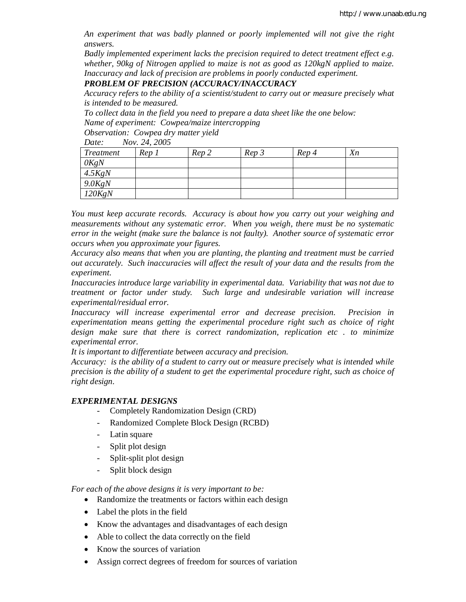*An experiment that was badly planned or poorly implemented will not give the right answers.* 

*Badly implemented experiment lacks the precision required to detect treatment effect e.g. whether, 90kg of Nitrogen applied to maize is not as good as 120kgN applied to maize. Inaccuracy and lack of precision are problems in poorly conducted experiment.*

*PROBLEM OF PRECISION (ACCURACY/INACCURACY*

*Accuracy refers to the ability of a scientist/student to carry out or measure precisely what is intended to be measured.*

*To collect data in the field you need to prepare a data sheet like the one below: Name of experiment: Cowpea/maize intercropping*

*Observation: Cowpea dry matter yield*

*Date: Nov. 24, 2005*

| <b>Treatment</b> | Rep 1 | Rep 2 | Rep 3 | Rep 4 | X <sub>n</sub> |
|------------------|-------|-------|-------|-------|----------------|
| OKgN             |       |       |       |       |                |
| 4.5KgN           |       |       |       |       |                |
| $9.0$ KgN        |       |       |       |       |                |
| 120KgN           |       |       |       |       |                |

*You must keep accurate records. Accuracy is about how you carry out your weighing and measurements without any systematic error. When you weigh, there must be no systematic error in the weight (make sure the balance is not faulty). Another source of systematic error occurs when you approximate your figures.* 

*Accuracy also means that when you are planting, the planting and treatment must be carried out accurately. Such inaccuracies will affect the result of your data and the results from the experiment.*

*Inaccuracies introduce large variability in experimental data. Variability that was not due to treatment or factor under study. Such large and undesirable variation will increase experimental/residual error.*

*Inaccuracy will increase experimental error and decrease precision. Precision in experimentation means getting the experimental procedure right such as choice of right design make sure that there is correct randomization, replication etc . to minimize experimental error.*

*It is important to differentiate between accuracy and precision.*

*Accuracy: is the ability of a student to carry out or measure precisely what is intended while precision is the ability of a student to get the experimental procedure right, such as choice of right design.*

### *EXPERIMENTAL DESIGNS*

- Completely Randomization Design (CRD)
- Randomized Complete Block Design (RCBD)
- Latin square
- Split plot design
- Split-split plot design
- Split block design

*For each of the above designs it is very important to be:*

- Randomize the treatments or factors within each design
- Label the plots in the field
- Know the advantages and disadvantages of each design
- Able to collect the data correctly on the field
- Know the sources of variation
- Assign correct degrees of freedom for sources of variation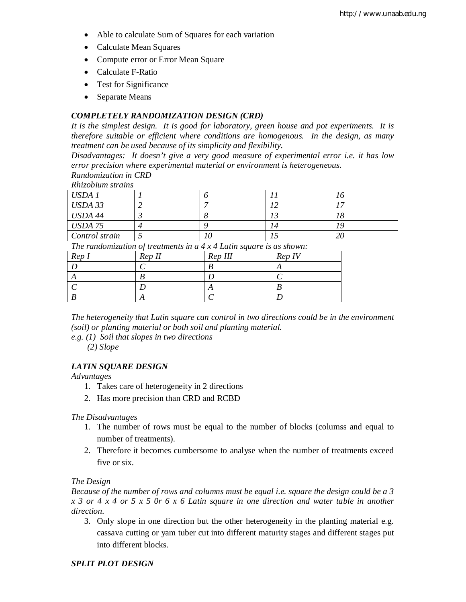- Able to calculate Sum of Squares for each variation
- Calculate Mean Squares
- Compute error or Error Mean Square
- Calculate F-Ratio
- Test for Significance
- Separate Means

#### *COMPLETELY RANDOMIZATION DESIGN (CRD)*

*It is the simplest design. It is good for laboratory, green house and pot experiments. It is therefore suitable or efficient where conditions are homogenous. In the design, as many treatment can be used because of its simplicity and flexibility.*

*Disadvantages: It doesn't give a very good measure of experimental error i.e. it has low error precision where experimental material or environment is heterogeneous.*

*Randomization in CRD*

*Rhizobium strains*

| USDA 1         |  |     |
|----------------|--|-----|
| USDA 33        |  |     |
| USDA 44        |  |     |
| <b>USDA 75</b> |  |     |
| Control strain |  | ۷U. |

*The randomization of treatments in a 4 x 4 Latin square is as shown:*

| Rep I | Rep II | Rep III | Rep IV |
|-------|--------|---------|--------|
|       |        |         |        |
|       |        |         |        |
|       |        |         |        |
|       |        |         |        |

*The heterogeneity that Latin square can control in two directions could be in the environment (soil) or planting material or both soil and planting material.*

*e.g. (1) Soil that slopes in two directions*

*(2) Slope*

#### *LATIN SQUARE DESIGN*

*Advantages*

- 1. Takes care of heterogeneity in 2 directions
- 2. Has more precision than CRD and RCBD

#### *The Disadvantages*

- 1. The number of rows must be equal to the number of blocks (columss and equal to number of treatments).
- 2. Therefore it becomes cumbersome to analyse when the number of treatments exceed five or six.

*The Design*

*Because of the number of rows and columns must be equal i.e. square the design could be a 3 x 3 or 4 x 4 or 5 x 5 0r 6 x 6 Latin square in one direction and water table in another direction.*

3. Only slope in one direction but the other heterogeneity in the planting material e.g. cassava cutting or yam tuber cut into different maturity stages and different stages put into different blocks.

#### *SPLIT PLOT DESIGN*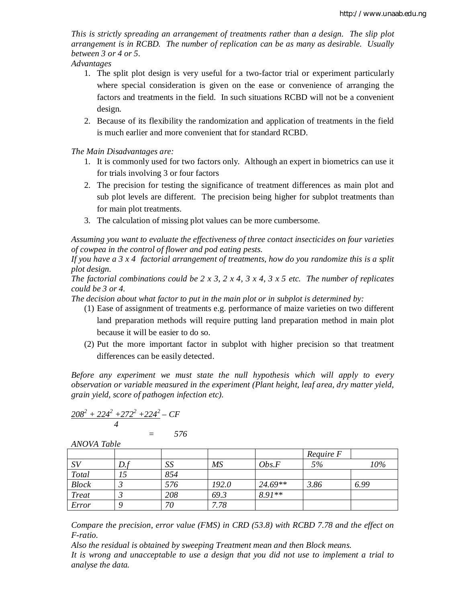*This is strictly spreading an arrangement of treatments rather than a design. The slip plot arrangement is in RCBD. The number of replication can be as many as desirable. Usually between 3 or 4 or 5.*

*Advantages*

- 1. The split plot design is very useful for a two-factor trial or experiment particularly where special consideration is given on the ease or convenience of arranging the factors and treatments in the field. In such situations RCBD will not be a convenient design.
- 2. Because of its flexibility the randomization and application of treatments in the field is much earlier and more convenient that for standard RCBD.

*The Main Disadvantages are:*

- 1. It is commonly used for two factors only. Although an expert in biometrics can use it for trials involving 3 or four factors
- 2. The precision for testing the significance of treatment differences as main plot and sub plot levels are different. The precision being higher for subplot treatments than for main plot treatments.
- 3. The calculation of missing plot values can be more cumbersome.

*Assuming you want to evaluate the effectiveness of three contact insecticides on four varieties of cowpea in the control of flower and pod eating pests.*

*If you have a 3 x 4 factorial arrangement of treatments, how do you randomize this is a split plot design.*

*The factorial combinations could be 2 x 3, 2 x 4, 3 x 4, 3 x 5 etc. The number of replicates could be 3 or 4.*

*The decision about what factor to put in the main plot or in subplot is determined by:*

- (1) Ease of assignment of treatments e.g. performance of maize varieties on two different land preparation methods will require putting land preparation method in main plot because it will be easier to do so.
- (2) Put the more important factor in subplot with higher precision so that treatment differences can be easily detected.

*Before any experiment we must state the null hypothesis which will apply to every observation or variable measured in the experiment (Plant height, leaf area, dry matter yield, grain yield, score of pathogen infection etc).*

$$
\frac{208^2 + 224^2 + 272^2 + 224^2 - CF}{4} = 576
$$

|              |     |     |           |          | Require F |      |
|--------------|-----|-----|-----------|----------|-----------|------|
| SV           | D.1 | SS  | <b>MS</b> | Obs.F    | 5%        | 10%  |
| Total        |     | 854 |           |          |           |      |
| <b>Block</b> |     | 576 | 192.0     | 24.69**  | 3.86      | 6.99 |
| <b>Treat</b> |     | 208 | 69.3      | $8.91**$ |           |      |
| Error        |     | 70  | 7.78      |          |           |      |

*ANOVA Table*

*Compare the precision, error value (FMS) in CRD (53.8) with RCBD 7.78 and the effect on F-ratio.*

*Also the residual is obtained by sweeping Treatment mean and then Block means.*

*It is wrong and unacceptable to use a design that you did not use to implement a trial to analyse the data.*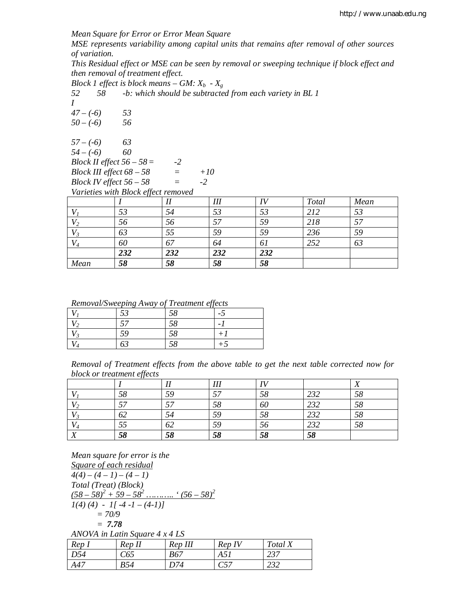*Mean Square for Error or Error Mean Square*

*MSE represents variability among capital units that remains after removal of other sources of variation.*

*This Residual effect or MSE can be seen by removal or sweeping technique if block effect and then removal of treatment effect.*

*Block 1 effect is block means – GM:*  $X_b$  - $X_g$ <br>52 58 -*b: which should be subtracte* 

*52 58 -b: which should be subtracted from each variety in BL 1*

*I*

*47 – (-6) 53 50 – (-6) 56*

*57 – (-6) 63*

*54 – (-6) 60*

*Block II effect 56 – 58= -2 Block III effect 68 – 58 = +10 Block IV effect 56 – 58 = -2*

*Varieties with Block effect removed*

|       | JJ  |     | Ш   | 71. | Total | Mean |
|-------|-----|-----|-----|-----|-------|------|
|       | 53  | 54  | 53  | 53  | 212   | 53   |
| V2    | 56  | 56  |     | 59  | 218   |      |
| $V_3$ | 63  | 55  | 59  | 59  | 236   | 59   |
|       | 60  | 67  | 64  | 61  | 252   | 63   |
|       | 232 | 232 | 232 | 232 |       |      |
| Mean  | 58  | 58  | 58  | 58  |       |      |

*Removal/Sweeping Away of Treatment effects*

|   |                    | .  |                |
|---|--------------------|----|----------------|
|   | $\epsilon$<br>JJ - | 58 | $\overline{a}$ |
| 2 | 57                 | 58 |                |
|   | 59                 | 58 |                |
| 4 | 63                 | 58 |                |

| Removal of Treatment effects from the above table to get the next table corrected now for |  |  |  |  |  |  |  |
|-------------------------------------------------------------------------------------------|--|--|--|--|--|--|--|
| block or treatment effects                                                                |  |  |  |  |  |  |  |

|                           |    |    | III       | IV |     | <b>TZ</b><br>41 |
|---------------------------|----|----|-----------|----|-----|-----------------|
|                           | 58 | 59 | 57<br>ر ر | 58 | 232 | 58              |
| $V_2$                     | دس | 57 | 58        | 60 | 232 | 58              |
| $V_{3}$                   | 62 | 54 | 59        | 58 | 232 | 58              |
| $V_4$                     | 55 | 62 | 59        | 56 | 232 | 58              |
| $\mathbf{v}$<br>$\Lambda$ | 58 | 58 | 58        | 58 | 58  |                 |

*Mean square for error is the Square of each residual*  $4(4) - (4 - 1) - (4 - 1)$ *Total (Treat) (Block)*  $(58 - 58)^2 + 59 - 58^2$  ........... ' $(56 - 58)^2$  $I(4)(4) - I[-4-1-(4-1)]$ *= 70/9 = 7.78 ANOVA in Latin Square 4 x 4 LS Rep I Rep II Rep III Rep IV Total X D54 C65 B67 A51 237 A47 B54 D74 C57 232*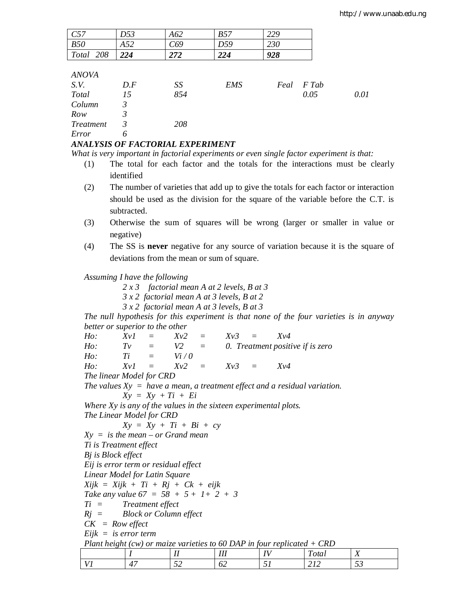| C57              | D53            | A62 | <b>B57</b> | 229  |       |      |
|------------------|----------------|-----|------------|------|-------|------|
| <i>B50</i>       | A52            | C69 | D59        | 230  |       |      |
| Total 208        | 224            | 272 | 224        | 928  |       |      |
|                  |                |     |            |      |       |      |
| <b>ANOVA</b>     |                |     |            |      |       |      |
| S.V.             | D.F            | SS  | <b>EMS</b> | Feal | F Tab |      |
| <b>Total</b>     | 15             | 854 |            |      | 0.05  | 0.01 |
| Column           | 3              |     |            |      |       |      |
| Row              | $\mathfrak{Z}$ |     |            |      |       |      |
| <b>Treatment</b> | 3              | 208 |            |      |       |      |
| Error            | 6              |     |            |      |       |      |

# *ANALYSIS OF FACTORIAL EXPERIMENT*

*What is very important in factorial experiments or even single factor experiment is that:*

- (1) The total for each factor and the totals for the interactions must be clearly identified
- (2) The number of varieties that add up to give the totals for each factor or interaction should be used as the division for the square of the variable before the C.T. is subtracted.
- (3) Otherwise the sum of squares will be wrong (larger or smaller in value or negative)
- (4) The SS is **never** negative for any source of variation because it is the square of deviations from the mean or sum of square.

*Assuming I have the following*

*2 x 3 factorial mean A at 2 levels, B at 3*

*3 x 2 factorial mean A at 3 levels, B at 2*

*3 x 2 factorial mean A at 3 levels, B at 3*

*The null hypothesis for this experiment is that none of the four varieties is in anyway better or superior to the other*

*Ho: Xv1 = Xv2 = Xv3 = Xv4 Ho:*  $TV = V2 = 0$ . Treatment positive if is zero  $H_0$ :  $T_i = V_i / 0$  $Ho:$  *Ti* = *Vi* / 0 *Ho: Xv1 = Xv2 = Xv3 = Xv4 The linear Model for CRD The values Xy = have a mean, a treatment effect and a residual variation. Xy = Xy + Ti + Ei Where Xy is any of the values in the sixteen experimental plots. The Linear Model for CRD Xy = Xy + Ti + Bi + cy Xy = is the mean – or Grand mean Ti is Treatment effect Bj is Block effect Eij is error term or residual effect Linear Model for Latin Square Xijk = Xijk + Ti + Rj + Ck + eijk Take any value 67 = 58 + 5 + 1+ 2 + 3 Ti = Treatment effect Rj = Block or Column effect CK = Row effect Eijk = is error term Plant height (cw) or maize varieties to 60 DAP in four replicated + CRD I II III IV Total X*

*V1 47 52 62 51 212 53*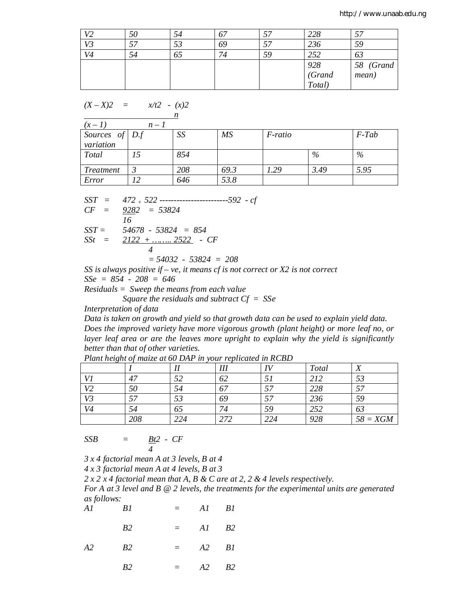| V <sub>2</sub> | 50 |    |    |    | 228                     |           |
|----------------|----|----|----|----|-------------------------|-----------|
| V3             |    |    | 69 |    | 236                     | 59        |
| V4             | 54 | υJ |    | 59 | 252                     | 03        |
|                |    |    |    |    |                         | 58 (Grand |
|                |    |    |    |    | 928<br>(Grand<br>Total) | mean)     |
|                |    |    |    |    |                         |           |

$$
(X - X)2 = x/t2 - (x)2
$$

|                  |       | n   |      |                |      |          |
|------------------|-------|-----|------|----------------|------|----------|
| $(x-1)$          | $n-1$ |     |      |                |      |          |
| Sources of $D.f$ |       | SS  | MS   | <i>F-ratio</i> |      | $F$ -Tab |
| variation        |       |     |      |                |      |          |
| Total            |       | 854 |      |                | %    | %        |
| Treatment        |       | 208 | 69.3 | 1.29           | 3.49 | 5.95     |
| Error            | ר ו   | 646 | 53.8 |                |      |          |

*SST = 472 + 522 ------------------------592 - cf CF = 9282 = 53824 16*

*SST = 54678 - 53824 = 854 SSt = 2122 + …….. 2522 - CF*

$$
-\frac{2122 + \dots + 2522}{4} - c
$$

*= 54032 - 53824 = 208*

*SS is always positive if – ve, it means cf is not correct or X2 is not correct*

*SSe = 854 - 208 = 646*

*Residuals = Sweep the means from each value Square the residuals and subtract Cf = SSe*

*Interpretation of data*

*Data is taken on growth and yield so that growth data can be used to explain yield data. Does the improved variety have more vigorous growth (plant height) or more leaf no, or*  layer leaf area or are the leaves more upright to explain why the yield is significantly *better than that of other varieties.*

|                |     |     | Ш   | $\bf{H}$ | Total | <b>T</b>   |
|----------------|-----|-----|-----|----------|-------|------------|
| U              | 47  |     | 62  |          | 212   | 53         |
| V <sub>2</sub> | 50  | 94  |     | E F.     | 228   |            |
| V3             |     | ЭJ  | 69  | 57       | 236   | 59         |
| V4             | 54  | OJ  |     | 59       | 252   | 63         |
|                | 208 | 224 | 272 | 224      | 928   | $58 = XGM$ |

*Plant height of maize at 60 DAP in your replicated in RCBD*

$$
SSB = \frac{Bt^2 - CF}{4}
$$

*3 x 4 factorial mean A at 3 levels, B at 4* 

*4 x 3 factorial mean A at 4 levels, B at 3*

*2 x 2 x 4 factorial mean that A, B & C are at 2, 2 & 4 levels respectively.*

*For A at 3 level and B @ 2 levels, the treatments for the experimental units are generated as follows:*

|           | Al Bl     | $=$ $AI$ $BI$ |  |
|-----------|-----------|---------------|--|
|           | <i>B2</i> | $=$ $AI$ $B2$ |  |
| $A2$ $B2$ |           | $=$ $A2$ $B1$ |  |

*B2 = A2 B2*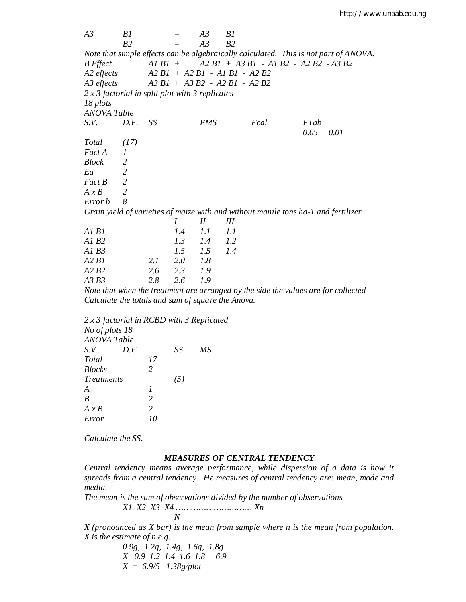*A3 B1 = A3 B1 B2 = A3 B2 Note that simple effects can be algebraically calculated. This is not part of ANOVA. B Effect A1 B1 + A2 B1 + A3 B1 - A1 B2 - A2 B2 - A3 B2 A2 effects A2 B1 + A2 B1 - A1 B1 - A2 B2 A3 effects A3 B1 + A3 B2 - A2 B1 - A2 B2 2 x 3 factorial in split plot with 3 replicates 18 plots ANOVA Table S.V. D.F. SS EMS Fcal FTab 0.05 0.01 Total (17) Fact A 1 Block 2 Ea 2 Fact B 2 A x B 2 Error b 8 Grain yield of varieties of maize with and without manile tons ha-1 and fertilizer I II III A1 B1 1.4 1.1 1.1 A1 B2 1.3 1.4 1.2 A1 B3 1.5 1.5 1.4 A2 B1 2.1 2.0 1.8 A2 B2 2.6 2.3 1.9 A3 B3 2.8 2.6 1.9*

*Note that when the treatment are arranged by the side the values are for collected Calculate the totals and sum of square the Anova.*

*2 x 3 factorial in RCBD with 3 Replicated No of plots 18 ANOVA Table S.V D.F SS MS Total 17 Blocks 2 Treatments (5) A 1 B 2 A x B 2 Error 10*

*Calculate the SS.*

#### *MEASURES OF CENTRAL TENDENCY*

*Central tendency means average performance, while dispersion of a data is how it spreads from a central tendency. He measures of central tendency are: mean, mode and media.*

*The mean is the sum of observations divided by the number of observations*

*X1 X2 X3 X4 ………………………… Xn N*

*X (pronounced as X bar) is the mean from sample where n is the mean from population. X is the estimate of n e.g.*

> *0.9g, 1.2g, 1.4g, 1.6g, 1.8g X 0.9 1.2 1.4 1.6 1.8 6.9 X = 6.9/5 1.38g/plot*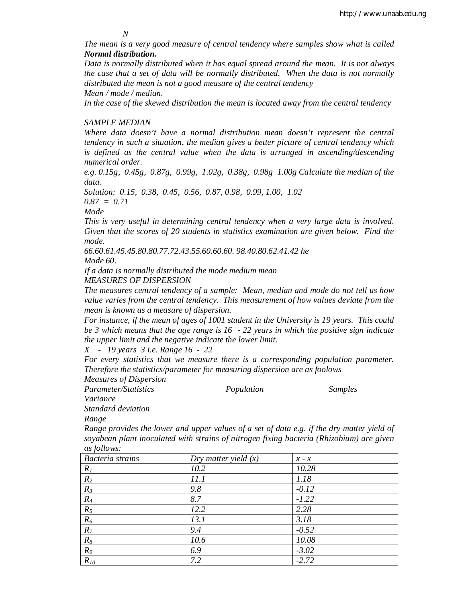*N*

*The mean is a very good measure of central tendency where samples show what is called Normal distribution.*

*Data is normally distributed when it has equal spread around the mean. It is not always the case that a set of data will be normally distributed. When the data is not normally distributed the mean is not a good measure of the central tendency Mean / mode / median.*

*In the case of the skewed distribution the mean is located away from the central tendency*

# *SAMPLE MEDIAN*

*Where data doesn't have a normal distribution mean doesn't represent the central tendency in such a situation, the median gives a better picture of central tendency which is defined as the central value when the data is arranged in ascending/descending numerical order.*

*e.g. 0.15g, 0.45g, 0.87g, 0.99g, 1.02g, 0.38g, 0.98g 1.00g Calculate the median of the data.*

*Solution: 0.15, 0.38, 0.45, 0.56, 0.87, 0.98, 0.99, 1.00, 1.02*

*0.87 = 0.71*

*Mode*

*This is very useful in determining central tendency when a very large data is involved. Given that the scores of 20 students in statistics examination are given below. Find the mode.*

*66.60.61.45.45.80.80.77.72.43.55.60.60.60. 98.40.80.62.41.42 he*

*Mode 60.*

*If a data is normally distributed the mode medium mean MEASURES OF DISPERSION*

*The measures central tendency of a sample: Mean, median and mode do not tell us how value varies from the central tendency. This measurement of how values deviate from the mean is known as a measure of dispersion.*

*For instance, if the mean of ages of 1001 student in the University is 19 years. This could be 3 which means that the age range is 16 - 22 years in which the positive sign indicate the upper limit and the negative indicate the lower limit.* 

*X - 19 years 3 i.e. Range 16 - 22*

*For every statistics that we measure there is a corresponding population parameter. Therefore the statistics/parameter for measuring dispersion are as foolows*

*Measures of Dispersion*

*Parameter/Statistics Population Samples Variance*

*Standard deviation*

*Range*

*Range provides the lower and upper values of a set of data e.g. if the dry matter yield of soyabean plant inoculated with strains of nitrogen fixing bacteria (Rhizobium) are given as follows:*

| $\mathbf{v}$<br>Bacteria strains | Dry matter yield $(x)$ | $x - x$ |
|----------------------------------|------------------------|---------|
| $R_I$                            | 10.2                   | 10.28   |
| $R_2$                            | 11.1                   | 1.18    |
| $R_3$                            | 9.8                    | $-0.12$ |
| $R_4$                            | 8.7                    | $-1.22$ |
| $R_5$                            | 12.2                   | 2.28    |
| $R_6$                            | 13.1                   | 3.18    |
| $R_7$                            | 9.4                    | $-0.52$ |
| $R_8$                            | 10.6                   | 10.08   |
| $R_{9}$                          | 6.9                    | $-3.02$ |
| $R_{10}$                         | 7.2                    | $-2.72$ |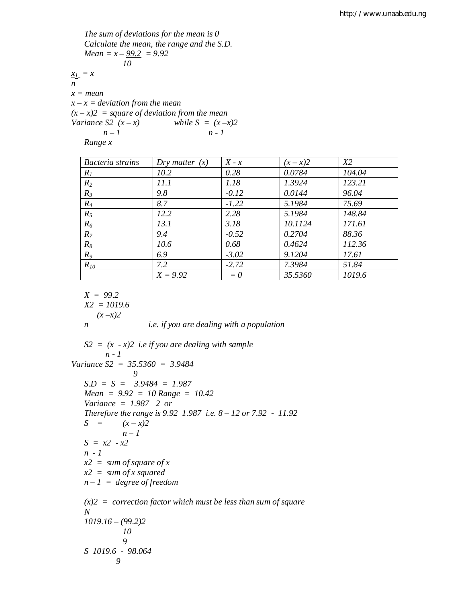The sum of deviations for the mean is 0  
\nCalculate the mean, the range and the S.D.  
\nMean = 
$$
x - \frac{99.2}{10} = 9.92
$$
  
\n $\frac{x_1}{x_1} = x$   
\n $x = \text{mean}$   
\n $x - x = \text{deviation from the mean}$   
\n $(x - x)2 = \text{square of deviation from the mean}$   
\nVariance S2  $(x - x)$  while S =  $(x - x)2$   
\n $n - 1$   
\nRange x

| Bacteria strains | Dry matter $(x)$ | $X - x$ | $(x - x)2$ | X2     |
|------------------|------------------|---------|------------|--------|
| $R_I$            | 10.2             | 0.28    | 0.0784     | 104.04 |
| $R_2$            | 11.1             | 1.18    | 1.3924     | 123.21 |
| $R_3$            | 9.8              | $-0.12$ | 0.0144     | 96.04  |
| $R_4$            | 8.7              | $-1.22$ | 5.1984     | 75.69  |
| $R_5$            | 12.2             | 2.28    | 5.1984     | 148.84 |
| $R_6$            | 13.1             | 3.18    | 10.1124    | 171.61 |
| $R_7$            | 9.4              | $-0.52$ | 0.2704     | 88.36  |
| $R_8$            | 10.6             | 0.68    | 0.4624     | 112.36 |
| $R_9$            | 6.9              | $-3.02$ | 9.1204     | 17.61  |
| $R_{10}$         | 7.2              | $-2.72$ | 7.3984     | 51.84  |
|                  | $X = 9.92$       | $= 0$   | 35.5360    | 1019.6 |

$$
X = 99.2
$$
  
\n
$$
X2 = 1019.6
$$
  
\n
$$
(x-x)2
$$
  
\n*i.e.* if you are dealing with a population

*S2 = (x - x)2 i.e if you are dealing with sample n - 1 Variance S2 = 35.5360 = 3.9484 9 S.D = S = 3.9484 = 1.987 Mean = 9.92 = 10 Range = 10.42 Variance = 1.987 2 or Therefore the range is 9.92 1.987 i.e. 8 – 12 or 7.92 - 11.92 S* =  $(x - x)2$ *n – 1 S = x2 - x2 n - 1 x2 = sum of square of x x2 = sum of x squared n – 1 = degree of freedom (x)2 = correction factor which must be less than sum of square N 1019.16 – (99.2)2 10 9 S 1019.6 - 98.064 9*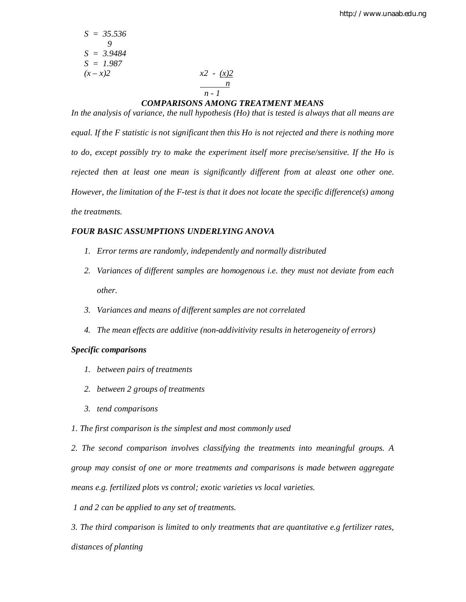$$
S = 35.536
$$
  
\n9  
\n
$$
S = 3.9484
$$
  
\n
$$
S = 1.987
$$
  
\n
$$
(x - x)2
$$
  
\n
$$
x2 - (x)2
$$
  
\n
$$
n - 1
$$

#### *COMPARISONS AMONG TREATMENT MEANS*

*In the analysis of variance, the null hypothesis (Ho) that is tested is always that all means are equal. If the F statistic is not significant then this Ho is not rejected and there is nothing more to do, except possibly try to make the experiment itself more precise/sensitive. If the Ho is rejected then at least one mean is significantly different from at aleast one other one. However, the limitation of the F-test is that it does not locate the specific difference(s) among the treatments.*

### *FOUR BASIC ASSUMPTIONS UNDERLYING ANOVA*

- *1. Error terms are randomly, independently and normally distributed*
- *2. Variances of different samples are homogenous i.e. they must not deviate from each other.*
- *3. Variances and means of different samples are not correlated*
- *4. The mean effects are additive (non-addivitivity results in heterogeneity of errors)*

#### *Specific comparisons*

- *1. between pairs of treatments*
- *2. between 2 groups of treatments*
- *3. tend comparisons*
- *1. The first comparison is the simplest and most commonly used*

*2. The second comparison involves classifying the treatments into meaningful groups. A group may consist of one or more treatments and comparisons is made between aggregate means e.g. fertilized plots vs control; exotic varieties vs local varieties.*

*1 and 2 can be applied to any set of treatments.*

*3. The third comparison is limited to only treatments that are quantitative e.g fertilizer rates, distances of planting*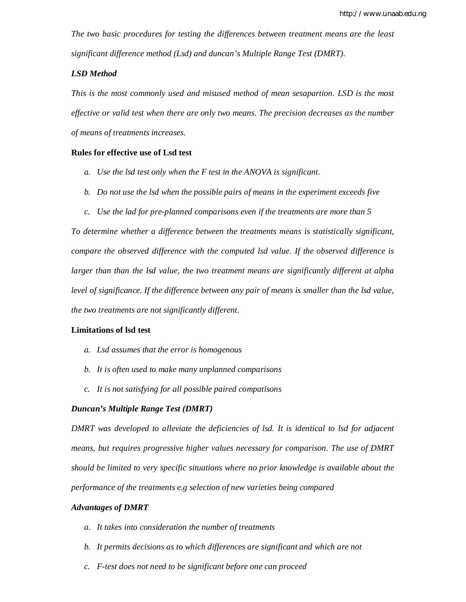*The two basic procedures for testing the differences between treatment means are the least significant difference method (Lsd) and duncan's Multiple Range Test (DMRT).*

### *LSD Method*

*This is the most commonly used and misused method of mean sesapartion. LSD is the most effective or valid test when there are only two means. The precision decreases as the number of means of treatments increases.*

#### **Rules for effective use of Lsd test**

- *a. Use the lsd test only when the F test in the ANOVA is significant.*
- *b. Do not use the lsd when the possible pairs of means in the experiment exceeds five*
- *c. Use the lad for pre-planned comparisons even if the treatments are more than 5*

*To determine whether a difference between the treatments means is statistically significant, compare the observed difference with the computed lsd value. If the observed difference is larger than than the lsd value, the two treatment means are significantly different at alpha level of significance. If the difference between any pair of means is smaller than the lsd value, the two treatments are not significantly different.*

# **Limitations of lsd test**

- *a. Lsd assumes that the error is homogenous*
- *b. It is often used to make many unplanned comparisons*
- *c. It is not satisfying for all possible paired compatisons*

#### *Duncan's Multiple Range Test (DMRT)*

*DMRT was developed to alleviate the deficiencies of lsd. It is identical to lsd for adjacent means, but requires progressive higher values necessary for comparison. The use of DMRT should be limited to very specific situations where no prior knowledge is available about the performance of the treatments e.g selection of new varieties being compared*

#### *Advantages of DMRT*

- *a. It takes into consideration the number of treatments*
- *b. It permits decisions as to which differences are significant and which are not*
- *c. F-test does not need to be significant before one can proceed*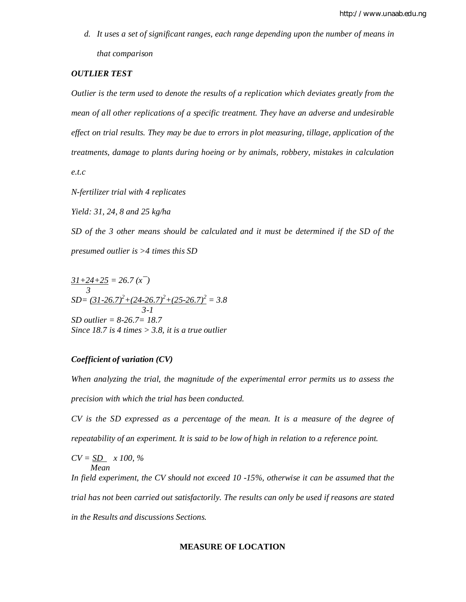*d. It uses a set of significant ranges, each range depending upon the number of means in that comparison*

#### *OUTLIER TEST*

*Outlier is the term used to denote the results of a replication which deviates greatly from the mean of all other replications of a specific treatment. They have an adverse and undesirable effect on trial results. They may be due to errors in plot measuring, tillage, application of the treatments, damage to plants during hoeing or by animals, robbery, mistakes in calculation* 

*e.t.c*

*N-fertilizer trial with 4 replicates*

*Yield: 31, 24, 8 and 25 kg/ha*

*SD of the 3 other means should be calculated and it must be determined if the SD of the presumed outlier is >4 times this SD*

 $31+24+25 = 26.7 (x^-)$  *3 SD= (31-26.7)<sup>2</sup>+(24-26.7)<sup>2</sup>+(25-26.7)<sup>2</sup> = 3.8 3-1 SD outlier = 8-26.7= 18.7 Since 18.7 is 4 times > 3.8, it is a true outlier*

# *Coefficient of variation (CV)*

*When analyzing the trial, the magnitude of the experimental error permits us to assess the precision with which the trial has been conducted.*

*CV is the SD expressed as a percentage of the mean. It is a measure of the degree of repeatability of an experiment. It is said to be low of high in relation to a reference point.*

$$
CV = \underline{SD} \quad x \, 100, \, \%
$$
  
Mean

*In field experiment, the CV should not exceed 10 -15%, otherwise it can be assumed that the trial has not been carried out satisfactorily. The results can only be used if reasons are stated in the Results and discussions Sections.*

#### **MEASURE OF LOCATION**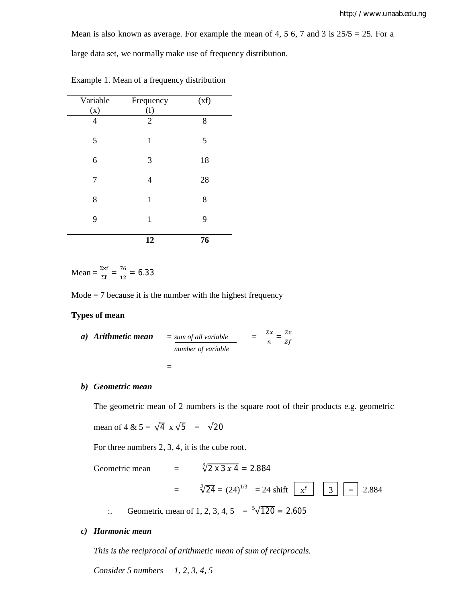Mean is also known as average. For example the mean of 4, 5 6, 7 and 3 is  $25/5 = 25$ . For a

large data set, we normally make use of frequency distribution.

| Variable       | Frequency      | (xf) |
|----------------|----------------|------|
| (X)            | (f)            |      |
| $\overline{4}$ | $\overline{2}$ | 8    |
| 5              | $\mathbf{1}$   | 5    |
| 6              | 3              | 18   |
| 7              | 4              | 28   |
| 8              | $\mathbf{1}$   | 8    |
| 9              | $\mathbf{1}$   | 9    |
|                | 12             | 76   |

Example 1. Mean of a frequency distribution

Mean =  $\frac{\Sigma xf}{\Sigma f} = \frac{76}{12}$  $\frac{76}{12}$  = 6.33

 $Mode = 7$  because it is the number with the highest frequency

### **Types of mean**

a) Arithmetic mean = sum of all variable = 
$$
\frac{\sum x}{n} = \frac{\sum x}{\sum f}
$$

$$
=
$$

#### *b) Geometric mean*

The geometric mean of 2 numbers is the square root of their products e.g. geometric

mean of 4 &  $5 = \sqrt{4} \times \sqrt{5} = \sqrt{20}$ 

For three numbers 2, 3, 4, it is the cube root.

Geometric mean 
$$
= \sqrt[3]{2 \times 3 \times 4} = 2.884
$$

$$
= \sqrt[3]{24} = (24)^{1/3} = 24 \text{ shift } \boxed{x^y} \boxed{3} = 2.884
$$

:. Geometric mean of 1, 2, 3, 4, 5 =  $\sqrt[5]{120}$  = 2.605

# *c) Harmonic mean*

*This is the reciprocal of arithmetic mean of sum of reciprocals.*

*Consider 5 numbers 1, 2, 3, 4, 5*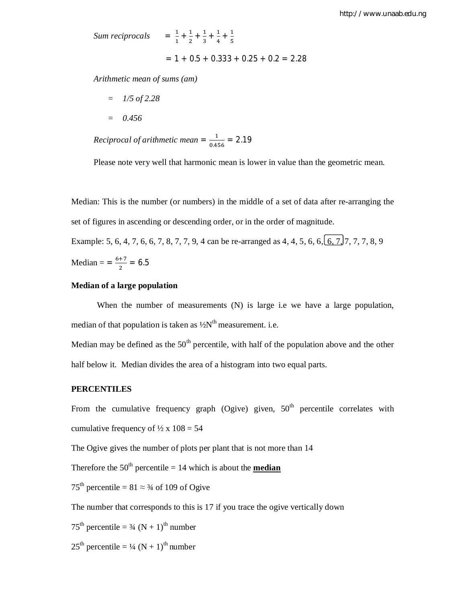*Sum reciprocals*  $=$   $\frac{1}{4}$  $\frac{1}{1} + \frac{1}{2}$ 

$$
= 1 + 0.5 + 0.333 + 0.25 + 0.2 = 2.28
$$

 $\frac{1}{2} + \frac{1}{3}$  $\frac{1}{3} + \frac{1}{4}$  $\frac{1}{4} + \frac{1}{5}$ ହ

*Arithmetic mean of sums (am)*

- *= 1/5 of 2.28*
- *= 0.456*

*Reciprocal of arithmetic mean* =  $\frac{1}{2}$  $\frac{1}{0.456} = 2.19$ 

Please note very well that harmonic mean is lower in value than the geometric mean.

Median: This is the number (or numbers) in the middle of a set of data after re-arranging the set of figures in ascending or descending order, or in the order of magnitude.

Example: 5, 6, 4, 7, 6, 6, 7, 8, 7, 7, 9, 4 can be re-arranged as  $4, 4, 5, 6, 6, 6, 7, 7, 7, 7, 8, 9$ Median =  $=\frac{6+7}{3}$  $\frac{+7}{2}$  = 6.5

### **Median of a large population**

When the number of measurements (N) is large i.e we have a large population, median of that population is taken as  $\frac{1}{2}N^{\text{th}}$  measurement. i.e.

Median may be defined as the  $50<sup>th</sup>$  percentile, with half of the population above and the other half below it. Median divides the area of a histogram into two equal parts.

# **PERCENTILES**

From the cumulative frequency graph (Ogive) given,  $50<sup>th</sup>$  percentile correlates with cumulative frequency of  $\frac{1}{2}$  x 108 = 54

The Ogive gives the number of plots per plant that is not more than 14

Therefore the  $50<sup>th</sup>$  percentile = 14 which is about the **median** 

75<sup>th</sup> percentile =  $81 \approx 3/4$  of 109 of Ogive

The number that corresponds to this is 17 if you trace the ogive vertically down

75<sup>th</sup> percentile =  $\frac{3}{4}$  (N + 1)<sup>th</sup> number

 $25<sup>th</sup>$  percentile =  $\frac{1}{4}$  (N + 1)<sup>th</sup> number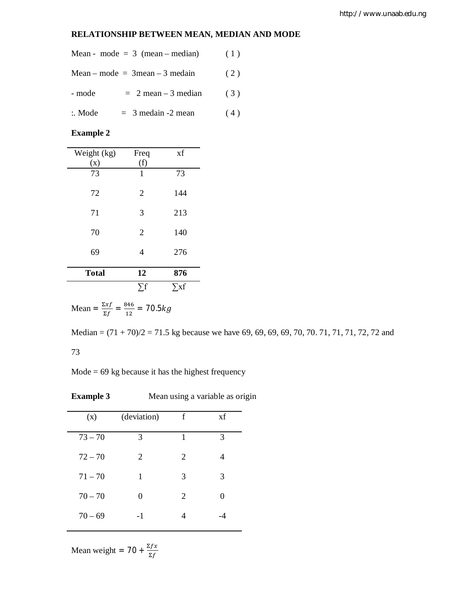# **RELATIONSHIP BETWEEN MEAN, MEDIAN AND MODE**

|                   | Mean - mode = $3$ (mean – median) | (1) |
|-------------------|-----------------------------------|-----|
|                   | $Mean-mode = 3mean - 3 median$    | (2) |
| - mode            | $= 2$ mean $-3$ median            | (3) |
| $\therefore$ Mode | $=$ 3 medain -2 mean              | (4) |

**Example 2**

| Weight (kg)  | Freq           | xf         |
|--------------|----------------|------------|
| (x)          | (f)            |            |
| 73           | 1              | 73         |
| 72           | $\overline{2}$ | 144        |
| 71           | 3              | 213        |
| 70           | $\overline{2}$ | 140        |
| 69           | 4              | 276        |
| <b>Total</b> | 12             | 876        |
|              | $\sum f$       | $\sum x f$ |

Mean = 
$$
\frac{\Sigma x f}{\Sigma f} = \frac{846}{12} = 70.5kg
$$

Median = (71 + 70)/2 = 71.5 kg because we have 69, 69, 69, 69, 70, 70. 71, 71, 71, 72, 72 and 73

 $Mode = 69$  kg because it has the highest frequency

**Example 3** Mean using a variable as origin

| (x)       | (deviation) | f | xf |
|-----------|-------------|---|----|
| $73 - 70$ | 3           | 1 | 3  |
| $72 - 70$ | 2           | 2 | 4  |
| $71 - 70$ | 1           | 3 | 3  |
| $70 - 70$ | 0           | 2 | 0  |
| $70 - 69$ | -1          |   |    |

Mean weight =  $70 + \frac{\Sigma fx}{\Sigma f}$  $\Sigma f$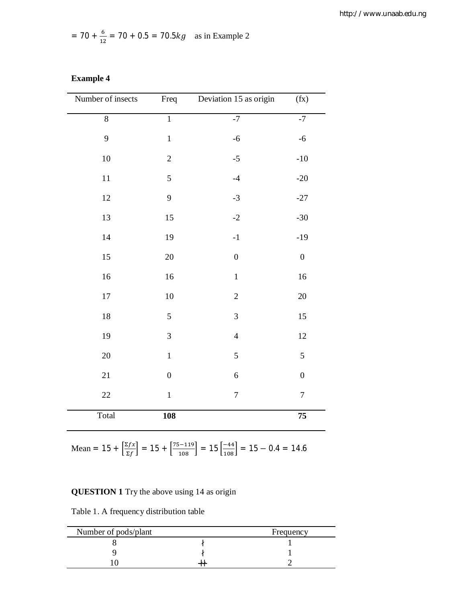$$
= 70 + \frac{6}{12} = 70 + 0.5 = 70.5kg
$$
 as in Example 2

| Number of insects | Freq             | Deviation 15 as origin | (fX)             |
|-------------------|------------------|------------------------|------------------|
| $8\,$             | $\overline{1}$   | $^{\rm -7}$            | $-7$             |
| 9                 | $\,1$            | $-6$                   | $-6$             |
| $10\,$            | $\overline{c}$   | $-5$                   | $\mbox{-}10$     |
| $11\,$            | 5                | $-4$                   | $-20$            |
| $12\,$            | 9                | $-3$                   | $-27$            |
| 13                | 15               | $-2$                   | $-30$            |
| 14                | 19               | $-1$                   | $-19$            |
| 15                | 20               | $\boldsymbol{0}$       | $\boldsymbol{0}$ |
| 16                | 16               | $\,1\,$                | 16               |
| $17\,$            | 10               | $\sqrt{2}$             | 20               |
| $18\,$            | 5                | 3                      | 15               |
| 19                | 3                | $\overline{4}$         | 12               |
| $20\,$            | $\mathbf 1$      | 5                      | $\mathfrak s$    |
| $21\,$            | $\boldsymbol{0}$ | $\boldsymbol{6}$       | $\boldsymbol{0}$ |
| $22\,$            | $\mathbf 1$      | $\boldsymbol{7}$       | $\boldsymbol{7}$ |
| Total             | <b>108</b>       |                        | 75               |

**Example 4**

Mean =  $15 + \frac{\Sigma f x}{\Sigma f}$  $\left[\frac{\Sigma f x}{\Sigma f}\right] = 15 + \left[\frac{75 - 119}{108}\right] = 15 \left[\frac{-44}{108}\right] = 15 - 0.4 = 14.6$ 

# **QUESTION 1** Try the above using 14 as origin

Table 1. A frequency distribution table

| Number of pods/plant | Frequency |
|----------------------|-----------|
|                      |           |
|                      |           |
|                      |           |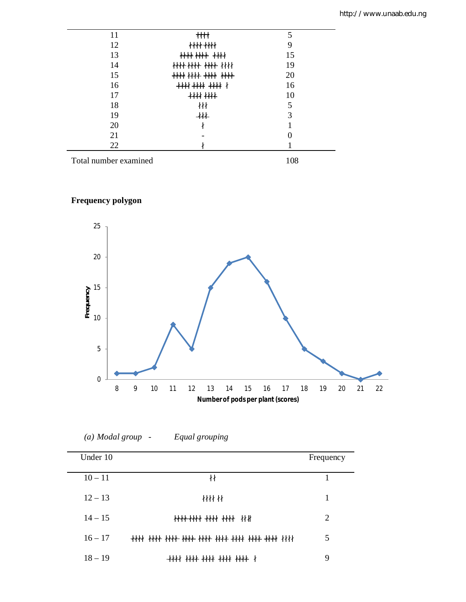| 11 | $\ddagger$             |    |
|----|------------------------|----|
| 12 | $\frac{1}{1}$          | 9  |
| 13 |                        | 15 |
| 14 | <del>HH HH HH</del> HH | 19 |
| 15 |                        | 20 |
| 16 | <b>**** ****</b> ****  | 16 |
| 17 | ++++ ++++              | 10 |
| 18 | 材                      |    |
| 19 | $+$                    | 3  |
| 20 |                        |    |
| 21 |                        |    |
| 22 |                        |    |

Total number examined 108

# **Frequency polygon**

 $\overline{\phantom{0}}$ 



# *(a) Modal group - Equal grouping*

| Under 10  |                            | Frequency |
|-----------|----------------------------|-----------|
| $10 - 11$ | 卄                          |           |
| $12 - 13$ | 材材材                        | 1         |
| $14 - 15$ |                            | 2         |
| $16 - 17$ |                            | 5         |
| $18 - 19$ | **** **** **** **** **** * | 9         |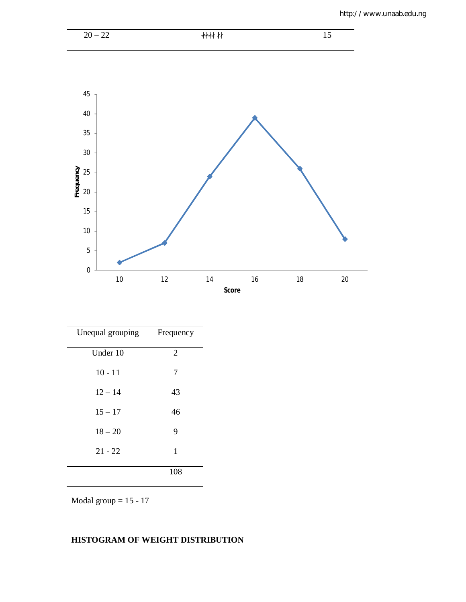

| Unequal grouping | Frequency      |
|------------------|----------------|
| Under 10         | $\overline{2}$ |
| $10 - 11$        | 7              |
| $12 - 14$        | 43             |
| $15 - 17$        | 46             |
| $18 - 20$        | 9              |
| $21 - 22$        | 1              |
|                  | 108            |

Modal group  $= 15 - 17$ 

# **HISTOGRAM OF WEIGHT DISTRIBUTION**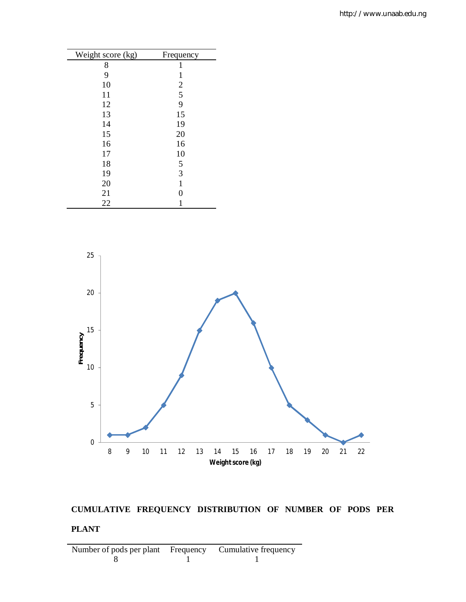| Weight score (kg) | Frequency      |
|-------------------|----------------|
| 8                 | 1              |
| 9                 | 1              |
| 10                | $\overline{2}$ |
| 11                | $\overline{5}$ |
| 12                | 9              |
| 13                | 15             |
| 14                | 19             |
| 15                | 20             |
| 16                | 16             |
| 17                | 10             |
| 18                | 5              |
| 19                | 3              |
| 20                | $\mathbf{1}$   |
| 21                | $\overline{0}$ |
| 22                |                |



# **CUMULATIVE FREQUENCY DISTRIBUTION OF NUMBER OF PODS PER PLANT**

Number of pods per plant Frequency Cumulative frequency 8 1 8 1 1 1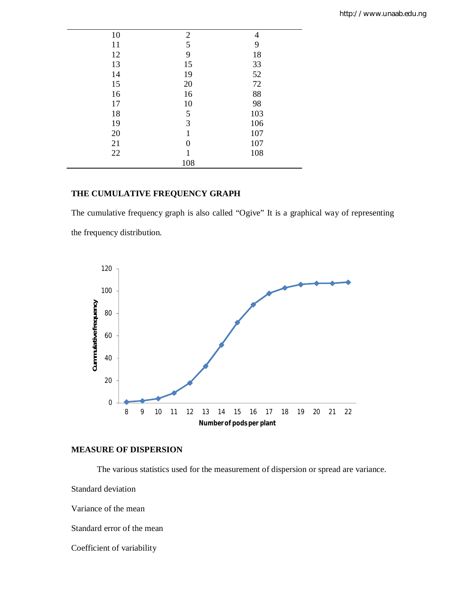| 10 | $\overline{2}$ | $\overline{4}$ |
|----|----------------|----------------|
| 11 | 5              | 9              |
| 12 | 9              | 18             |
| 13 | 15             | 33             |
| 14 | 19             | 52             |
| 15 | 20             | 72             |
| 16 | 16             | 88             |
| 17 | 10             | 98             |
| 18 | 5              | 103            |
| 19 | 3              | 106            |
| 20 | 1              | 107            |
| 21 | $\Omega$       | 107            |
| 22 |                | 108            |
|    | 108            |                |

# **THE CUMULATIVE FREQUENCY GRAPH**

The cumulative frequency graph is also called "Ogive" It is a graphical way of representing the frequency distribution.



## **MEASURE OF DISPERSION**

The various statistics used for the measurement of dispersion or spread are variance.

Standard deviation

Variance of the mean

Standard error of the mean

Coefficient of variability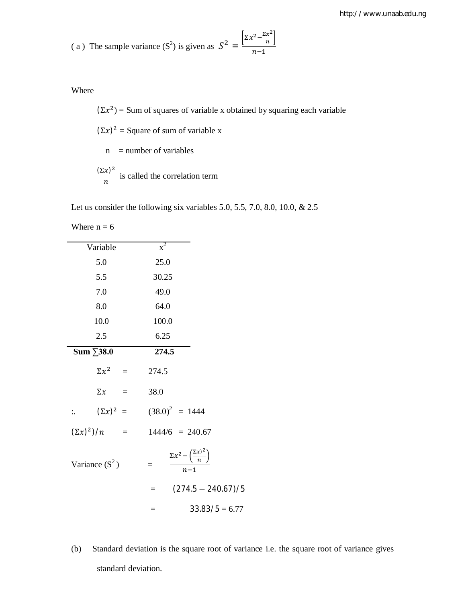(a) The sample variance 
$$
(S^2)
$$
 is given as  $S^2 = \frac{\left[\Sigma x^2 - \frac{\Sigma x^2}{n}\right]}{n-1}$ 

Where

 $(\Sigma x^2)$  = Sum of squares of variable x obtained by squaring each variable  $(\Sigma x)^2$  = Square of sum of variable x  $n =$  number of variables  $(\Sigma x)^2$  $\frac{\pi}{n}$  is called the correlation term

Let us consider the following six variables 5.0, 5.5, 7.0, 8.0, 10.0, & 2.5

Where  $n = 6$ 

| Variable                  |                   | $x^2$   |                                                                 |
|---------------------------|-------------------|---------|-----------------------------------------------------------------|
| 5.0                       |                   | 25.0    |                                                                 |
| 5.5                       |                   | 30.25   |                                                                 |
| 7.0                       |                   | 49.0    |                                                                 |
| 8.0                       |                   | 64.0    |                                                                 |
| 10.0                      |                   | 100.0   |                                                                 |
| 2.5                       |                   | 6.25    |                                                                 |
| Sum $\Sigma$ 38.0         |                   | 274.5   |                                                                 |
|                           | $\Sigma x^2 =$    | 274.5   |                                                                 |
|                           | $\Sigma x =$      | 38.0    |                                                                 |
| $\mathbb{R}^{\mathbb{Z}}$ |                   |         | $(\Sigma x)^2$ = $(38.0)^2$ = 1444                              |
| $(\Sigma x)^2$ / <i>n</i> | $\alpha = \alpha$ |         | $1444/6 = 240.67$                                               |
| Variance $(S^2)$          |                   |         | $\frac{\Sigma x^2 - (\frac{\Sigma x)^2}{n}}{\Sigma x}$<br>$n-1$ |
|                           |                   | $=$ $-$ | $(274.5 - 240.67)/5$                                            |
|                           |                   |         | $33.83/5 = 6.77$                                                |

(b) Standard deviation is the square root of variance i.e. the square root of variance gives standard deviation.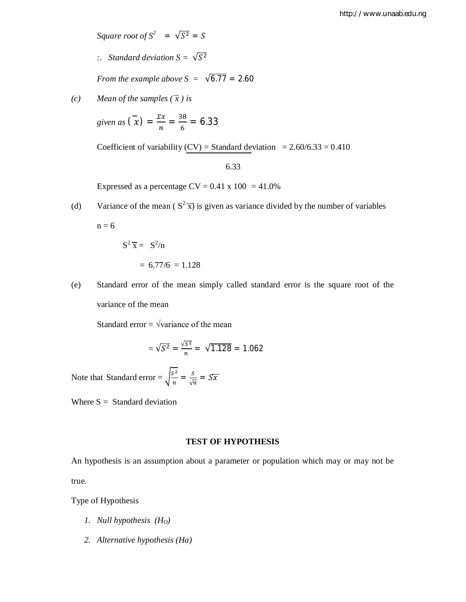*Square root of*  $S^2 = \sqrt{S^2} = S$ 

 $\therefore$  Standard deviation  $S = \sqrt{S^2}$ 

*From the example above S =*  $\sqrt{6.77}$  *= 2.60* 

*(c) Mean of the samples*  $(\bar{x})$  *is* 

given as  $\left(\bar{x}\right) = \frac{\Sigma x}{\Sigma}$  $\frac{\sum x}{n} = \frac{38}{6}$  $\frac{36}{6}$  = 6.33

Coefficient of variability (CV) = Standard deviation =  $2.60/6.33 = 0.410$ 

6.33

Expressed as a percentage  $CV = 0.41 \times 100 = 41.0\%$ 

(d) Variance of the mean ( $S^2 \overline{x}$ ) is given as variance divided by the number of variables

 $n = 6$ 

$$
S2 \overline{x} = S2/n
$$

$$
= 6.77/6 = 1.128
$$

(e) Standard error of the mean simply called standard error is the square root of the variance of the mean

Standard error =  $\sqrt{\text{variance of the mean}}$ 

$$
=\sqrt{S^2}=\frac{\sqrt{S^2}}{n}=\sqrt{1.128}=1.062
$$

Note that Standard error =  $\int_{0}^{S^2}$  $\frac{s^2}{n} = \frac{s}{\sqrt{n}}$  $\frac{3}{\sqrt{n}} = S\overline{x}$ 

Where  $S =$  Standard deviation

#### **TEST OF HYPOTHESIS**

An hypothesis is an assumption about a parameter or population which may or may not be true.

Type of Hypothesis

- *1. Null hypothesis (HO)*
- *2. Alternative hypothesis (Ha)*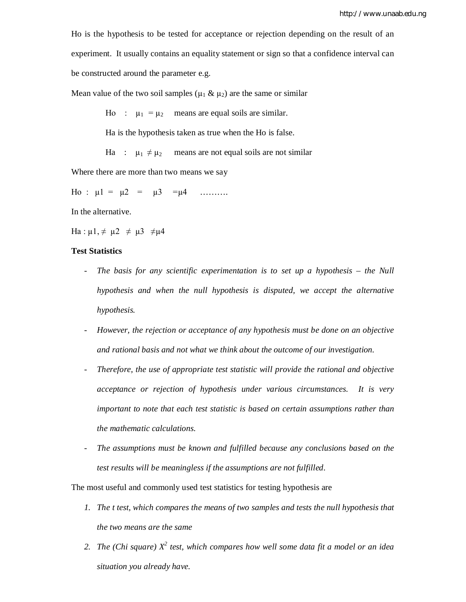Ho is the hypothesis to be tested for acceptance or rejection depending on the result of an experiment. It usually contains an equality statement or sign so that a confidence interval can be constructed around the parameter e.g.

Mean value of the two soil samples ( $\mu_1 \& \mu_2$ ) are the same or similar

Ho :  $\mu_1 = \mu_2$  means are equal soils are similar.

Ha is the hypothesis taken as true when the Ho is false.

Ha :  $\mu_1 \neq \mu_2$  means are not equal soils are not similar

Where there are more than two means we say

Ho :  $\mu$ 1 =  $\mu$ 2 =  $\mu$ 3 = $\mu$ 4 ………

In the alternative.

Ha :  $\mu$ 1,  $\neq \mu$ 2  $\neq \mu$ 3  $\neq \mu$ 4

### **Test Statistics**

- *The basis for any scientific experimentation is to set up a hypothesis – the Null hypothesis and when the null hypothesis is disputed, we accept the alternative hypothesis.*
- *However, the rejection or acceptance of any hypothesis must be done on an objective and rational basis and not what we think about the outcome of our investigation.*
- *Therefore, the use of appropriate test statistic will provide the rational and objective acceptance or rejection of hypothesis under various circumstances. It is very important to note that each test statistic is based on certain assumptions rather than the mathematic calculations.*
- *The assumptions must be known and fulfilled because any conclusions based on the test results will be meaningless if the assumptions are not fulfilled.*

The most useful and commonly used test statistics for testing hypothesis are

- *1. The t test, which compares the means of two samples and tests the null hypothesis that the two means are the same*
- *2. The (Chi square) X<sup>2</sup> test, which compares how well some data fit a model or an idea situation you already have.*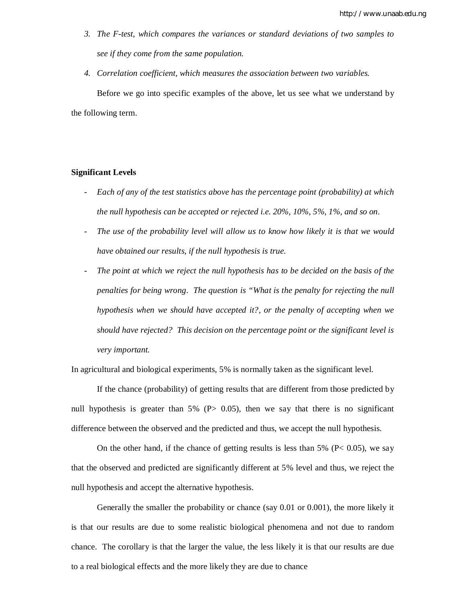- *3. The F-test, which compares the variances or standard deviations of two samples to see if they come from the same population.*
- *4. Correlation coefficient, which measures the association between two variables.* Before we go into specific examples of the above, let us see what we understand by the following term.

## **Significant Levels**

- *Each of any of the test statistics above has the percentage point (probability) at which the null hypothesis can be accepted or rejected i.e. 20%, 10%, 5%, 1%, and so on.*
- *The use of the probability level will allow us to know how likely it is that we would have obtained our results, if the null hypothesis is true.*
- The point at which we reject the null hypothesis has to be decided on the basis of the *penalties for being wrong. The question is "What is the penalty for rejecting the null hypothesis when we should have accepted it?, or the penalty of accepting when we should have rejected? This decision on the percentage point or the significant level is very important.*

In agricultural and biological experiments, 5% is normally taken as the significant level.

If the chance (probability) of getting results that are different from those predicted by null hypothesis is greater than  $5\%$  (P $> 0.05$ ), then we say that there is no significant difference between the observed and the predicted and thus, we accept the null hypothesis.

On the other hand, if the chance of getting results is less than 5% ( $P < 0.05$ ), we say that the observed and predicted are significantly different at 5% level and thus, we reject the null hypothesis and accept the alternative hypothesis.

Generally the smaller the probability or chance (say 0.01 or 0.001), the more likely it is that our results are due to some realistic biological phenomena and not due to random chance. The corollary is that the larger the value, the less likely it is that our results are due to a real biological effects and the more likely they are due to chance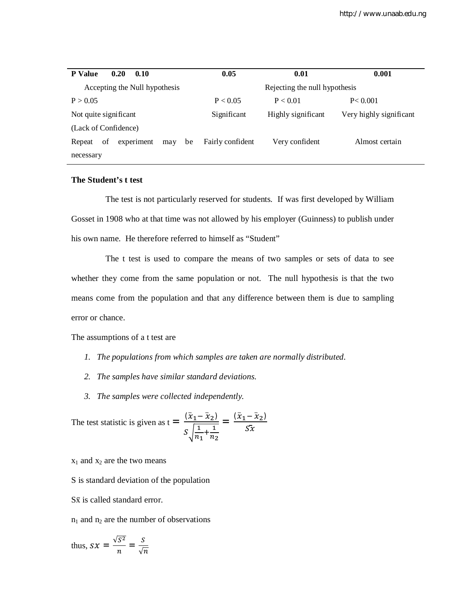| <b>P</b> Value<br>0.20<br>0.10          | 0.05                          | 0.01               | 0.001                   |  |
|-----------------------------------------|-------------------------------|--------------------|-------------------------|--|
| Accepting the Null hypothesis           | Rejecting the null hypothesis |                    |                         |  |
| P > 0.05                                | P < 0.05                      | P < 0.01           | P < 0.001               |  |
| Not quite significant                   | Significant                   | Highly significant | Very highly significant |  |
| (Lack of Confidence)                    |                               |                    |                         |  |
| of<br>experiment<br>be<br>Repeat<br>may | Fairly confident              | Very confident     | Almost certain          |  |
| necessary                               |                               |                    |                         |  |

# **The Student's t test**

The test is not particularly reserved for students. If was first developed by William Gosset in 1908 who at that time was not allowed by his employer (Guinness) to publish under his own name. He therefore referred to himself as "Student"

The t test is used to compare the means of two samples or sets of data to see whether they come from the same population or not. The null hypothesis is that the two means come from the population and that any difference between them is due to sampling error or chance.

#### The assumptions of a t test are

- *1. The populations from which samples are taken are normally distributed.*
- *2. The samples have similar standard deviations.*
- *3. The samples were collected independently.*

The test statistic is given as 
$$
t = \frac{(\bar{x}_1 - \bar{x}_2)}{s \sqrt{\frac{1}{n_1} + \frac{1}{n_2}}} = \frac{(\bar{x}_1 - \bar{x}_2)}{s \bar{x}}
$$

 $x_1$  and  $x_2$  are the two means

S is standard deviation of the population

 $S\bar{x}$  is called standard error.

 $n_1$  and  $n_2$  are the number of observations

thus, 
$$
Sx = \frac{\sqrt{S^2}}{n} = \frac{S}{\sqrt{n}}
$$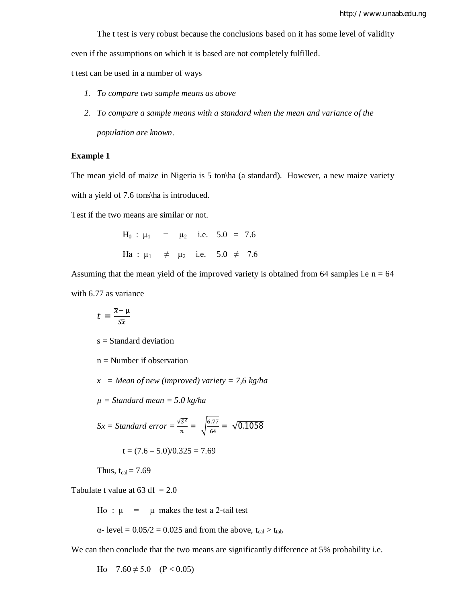The t test is very robust because the conclusions based on it has some level of validity

even if the assumptions on which it is based are not completely fulfilled.

t test can be used in a number of ways

- *1. To compare two sample means as above*
- *2. To compare a sample means with a standard when the mean and variance of the population are known.*

#### **Example 1**

The mean yield of maize in Nigeria is 5 ton\ha (a standard). However, a new maize variety with a yield of 7.6 tons\ha is introduced.

Test if the two means are similar or not.

 $H_0$  :  $\mu_1$  =  $\mu_2$  i.e. 5.0 = 7.6 Ha :  $\mu_1$   $\neq$   $\mu_2$  i.e. 5.0  $\neq$  7.6

Assuming that the mean yield of the improved variety is obtained from 64 samples i.e  $n = 64$ with 6.77 as variance

$$
t = \frac{\overline{x} - \mu}{s\overline{x}}
$$

 $s = Standard deviation$ 

 $n =$  Number if observation

*x = Mean of new (improved) variety = 7,6 kg/ha*

*µ = Standard mean = 5.0 kg/ha*

$$
S\overline{x} = Standard\ error = \frac{\sqrt{S^2}}{n} = \sqrt{\frac{6.77}{64}} = \sqrt{0.1058}
$$

$$
t = (7.6 - 5.0)/0.325 = 7.69
$$

Thus,  $t_{cal} = 7.69$ 

Tabulate t value at  $63 df = 2.0$ 

Ho :  $\mu$  =  $\mu$  makes the test a 2-tail test

$$
\alpha
$$
- level = 0.05/2 = 0.025 and from the above, t<sub>cal</sub> > t<sub>tab</sub>

We can then conclude that the two means are significantly difference at 5% probability i.e.

Ho  $7.60 \neq 5.0$  (P < 0.05)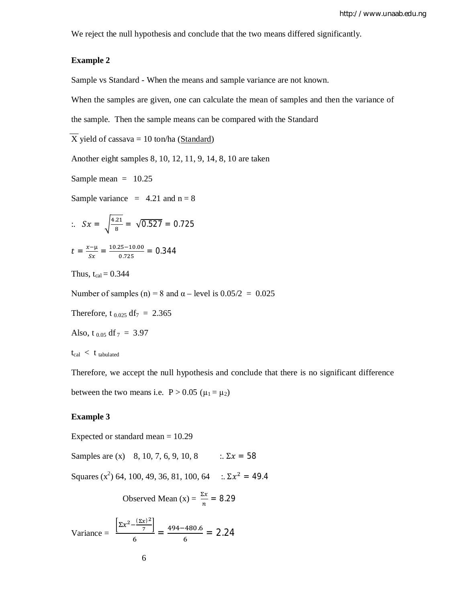We reject the null hypothesis and conclude that the two means differed significantly.

# **Example 2**

Sample vs Standard - When the means and sample variance are not known.

When the samples are given, one can calculate the mean of samples and then the variance of

the sample. Then the sample means can be compared with the Standard

 $\overline{X}$  yield of cassava = 10 ton/ha (Standard)

Another eight samples 8, 10, 12, 11, 9, 14, 8, 10 are taken

Sample mean  $= 10.25$ 

Sample variance  $= 4.21$  and  $n = 8$ 

$$
\therefore Sx = \sqrt{\frac{4.21}{8}} = \sqrt{0.527} = 0.725
$$

$$
t = \frac{x-\mu}{Sx} = \frac{10.25-10.00}{0.725} = 0.344
$$

Thus,  $t_{cal} = 0.344$ 

Number of samples (n) = 8 and  $\alpha$  – level is 0.05/2 = 0.025

Therefore, t<sub>0.025</sub> df<sub>7</sub> = 2.365

Also, t<sub>0.05</sub> df  $_7 = 3.97$ 

 $t_{cal} < t_{tabulated}$ 

Therefore, we accept the null hypothesis and conclude that there is no significant difference

between the two means i.e.  $P > 0.05$  ( $\mu_1 = \mu_2$ )

### **Example 3**

Expected or standard mean = 10.29

Samples are (x) 8, 10, 7, 6, 9, 10, 8 :.  $\Sigma x = 58$ 

Squares  $(x^2)$  64, 100, 49, 36, 81, 100, 64  $\therefore \Sigma x^2 = 49.4$ 

$$
Observed Mean (x) = \frac{\Sigma x}{n} = 8.29
$$

Variance = 
$$
\frac{\left[\Sigma x^2 - \frac{(\Sigma x)^2}{7}\right]}{6} = \frac{494 - 480.6}{6} = 2.24
$$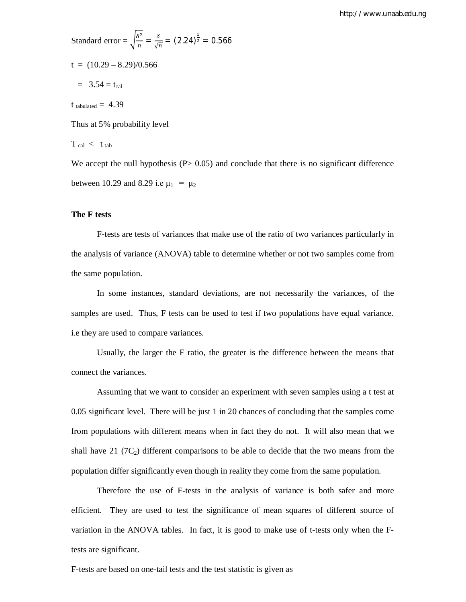http://www.unaab.edu.ng

Standard error =  $\int_{0}^{\delta^2}$  $\frac{\delta^2}{n} = \frac{\delta}{\sqrt{n}}$  $\frac{\delta}{\sqrt{n}} = (2.24)^{\frac{1}{2}} = 0.566$  $t = (10.29 - 8.29)/0.566$  $= 3.54 = t_{cal}$  $t_{\text{tabulated}} = 4.39$ Thus at 5% probability level  $T_{cal} < t_{tab}$ We accept the null hypothesis  $(P> 0.05)$  and conclude that there is no significant difference

between 10.29 and 8.29 i.e  $\mu_1 = \mu_2$ 

#### **The F tests**

F-tests are tests of variances that make use of the ratio of two variances particularly in the analysis of variance (ANOVA) table to determine whether or not two samples come from the same population.

In some instances, standard deviations, are not necessarily the variances, of the samples are used. Thus, F tests can be used to test if two populations have equal variance. i.e they are used to compare variances.

Usually, the larger the F ratio, the greater is the difference between the means that connect the variances.

Assuming that we want to consider an experiment with seven samples using a t test at 0.05 significant level. There will be just 1 in 20 chances of concluding that the samples come from populations with different means when in fact they do not. It will also mean that we shall have 21 ( $7C_2$ ) different comparisons to be able to decide that the two means from the population differ significantly even though in reality they come from the same population.

Therefore the use of F-tests in the analysis of variance is both safer and more efficient. They are used to test the significance of mean squares of different source of variation in the ANOVA tables. In fact, it is good to make use of t-tests only when the Ftests are significant.

F-tests are based on one-tail tests and the test statistic is given as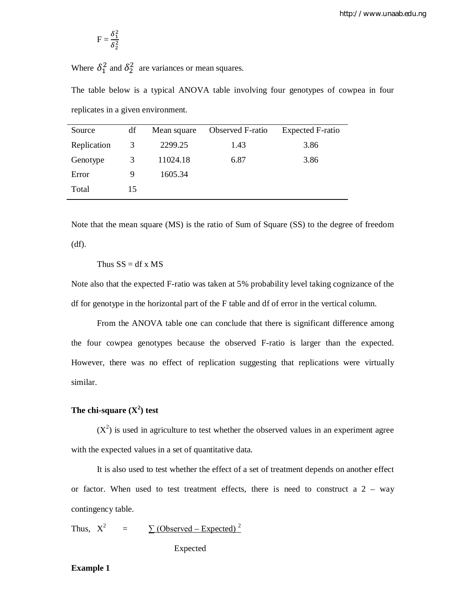$$
F=\frac{\delta_1^2}{\delta_2^2}
$$

Where  $\delta_1^2$  and  $\delta_2^2$  are variances or mean squares.

The table below is a typical ANOVA table involving four genotypes of cowpea in four replicates in a given environment.

| Source      | df | Mean square | Observed F-ratio | <b>Expected F-ratio</b> |
|-------------|----|-------------|------------------|-------------------------|
| Replication | 3  | 2299.25     | 1.43             | 3.86                    |
| Genotype    | 3  | 11024.18    | 6.87             | 3.86                    |
| Error       | 9  | 1605.34     |                  |                         |
| Total       | 15 |             |                  |                         |
|             |    |             |                  |                         |

Note that the mean square (MS) is the ratio of Sum of Square (SS) to the degree of freedom (df).

Thus  $SS = df \times MS$ 

Note also that the expected F-ratio was taken at 5% probability level taking cognizance of the df for genotype in the horizontal part of the F table and df of error in the vertical column.

From the ANOVA table one can conclude that there is significant difference among the four cowpea genotypes because the observed F-ratio is larger than the expected. However, there was no effect of replication suggesting that replications were virtually similar.

# **The chi-square (X<sup>2</sup> ) test**

 $(X^2)$  is used in agriculture to test whether the observed values in an experiment agree with the expected values in a set of quantitative data.

It is also used to test whether the effect of a set of treatment depends on another effect or factor. When used to test treatment effects, there is need to construct a  $2 - way$ contingency table.

Thus,  $X^2$  $=$   $\sum$  (Observed – Expected)<sup>2</sup>

Expected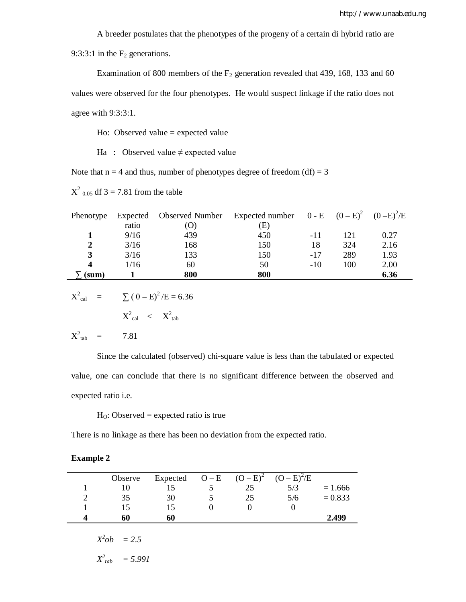A breeder postulates that the phenotypes of the progeny of a certain di hybrid ratio are

9:3:3:1 in the  $F_2$  generations.

Examination of 800 members of the  $F_2$  generation revealed that 439, 168, 133 and 60 values were observed for the four phenotypes. He would suspect linkage if the ratio does not agree with 9:3:3:1.

Ho: Observed value = expected value

Ha : Observed value  $\neq$  expected value

Note that  $n = 4$  and thus, number of phenotypes degree of freedom (df) = 3

 $X^2$  <sub>0.05</sub> df 3 = 7.81 from the table

| Phenotype        | Expected | <b>Observed Number</b> | Expected number $0 - E$ $(0 - E)^2$ |       |     | $(0-E)^{2}/E$ |
|------------------|----------|------------------------|-------------------------------------|-------|-----|---------------|
|                  | ratio    | (O)                    | (E)                                 |       |     |               |
|                  | 9/16     | 439                    | 450                                 | -11   | 121 | 0.27          |
| $\mathbf{2}$     | 3/16     | 168                    | 150                                 | 18    | 324 | 2.16          |
| 3                | 3/16     | 133                    | 150                                 | $-17$ | 289 | 1.93          |
| $\boldsymbol{4}$ | 1/16     | 60                     | 50                                  | $-10$ | 100 | 2.00          |
| (sum)            |          | 800                    | 800                                 |       |     | 6.36          |

$$
X_{\text{cal}}^2 = \sum (0 - E)^2 / E = 6.36
$$

$$
X^2_{\phantom{2}cal} \quad < \quad X^2_{\phantom{2}tab}
$$

$$
X^2_{\ \ \text{tab}} \quad = \qquad \quad \text{7.81}
$$

Since the calculated (observed) chi-square value is less than the tabulated or expected value, one can conclude that there is no significant difference between the observed and expected ratio i.e.

 $H<sub>O</sub>$ : Observed = expected ratio is true

There is no linkage as there has been no deviation from the expected ratio.

| txample |  |
|---------|--|
|---------|--|

| Observe | Expected | $O - E$ | $(O - E)^2$ | $(O - E)^2 / E$ |           |
|---------|----------|---------|-------------|-----------------|-----------|
|         |          |         |             | 5/3             | $= 1.666$ |
| 35      | 30       |         | 25          | 5/6             | $= 0.833$ |
|         |          |         |             |                 |           |
| 60      | 60       |         |             |                 | 2.499     |

 $X^2ob = 2.5$ 

$$
X^2_{tab} = 5.991
$$